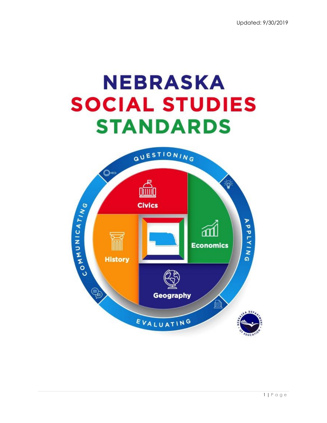

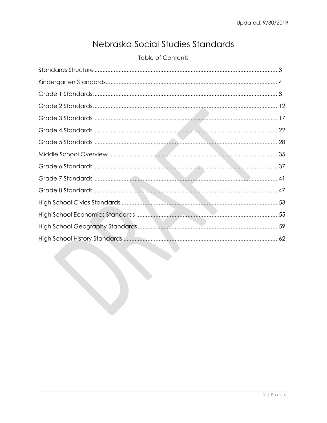# Nebraska Social Studies Standards

# **Table of Contents**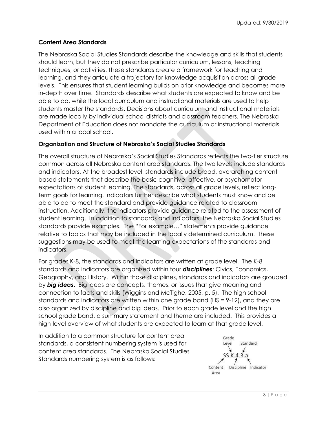# **Content Area Standards**

The Nebraska Social Studies Standards describe the knowledge and skills that students should learn, but they do not prescribe particular curriculum, lessons, teaching techniques, or activities. These standards create a framework for teaching and learning, and they articulate a trajectory for knowledge acquisition across all grade levels. This ensures that student learning builds on prior knowledge and becomes more in-depth over time. Standards describe what students are expected to know and be able to do, while the local curriculum and instructional materials are used to help students master the standards. Decisions about curriculum and instructional materials are made locally by individual school districts and classroom teachers. The Nebraska Department of Education does not mandate the curriculum or instructional materials used within a local school.

# **Organization and Structure of Nebraska's Social Studies Standards**

The overall structure of Nebraska's Social Studies Standards reflects the two-tier structure common across all Nebraska content area standards. The two levels include standards and indicators. At the broadest level, standards include broad, overarching contentbased statements that describe the basic cognitive, affective, or psychomotor expectations of student learning. The standards, across all grade levels, reflect longterm goals for learning. Indicators further describe what students must know and be able to do to meet the standard and provide guidance related to classroom instruction. Additionally, the indicators provide guidance related to the assessment of student learning. In addition to standards and indicators, the Nebraska Social Studies standards provide examples. The "For example…" statements provide guidance relative to topics that may be included in the locally determined curriculum. These suggestions may be used to meet the learning expectations of the standards and indicators.

For grades K-8, the standards and indicators are written at grade level. The K-8 standards and indicators are organized within four *disciplines*: Civics, Economics, Geography, and History. Within those disciplines, standards and indicators are grouped by *big ideas*. Big ideas are concepts, themes, or issues that give meaning and connection to facts and skills (Wiggins and McTighe, 2005, p. 5). The high school standards and indicators are written within one grade band (HS = 9-12), and they are also organized by discipline and big ideas. Prior to each grade level and the high school grade band, a summary statement and theme are included. This provides a high-level overview of what students are expected to learn at that grade level.

In addition to a common structure for content area standards, a consistent numbering system is used for content area standards. The Nebraska Social Studies Standards numbering system is as follows:

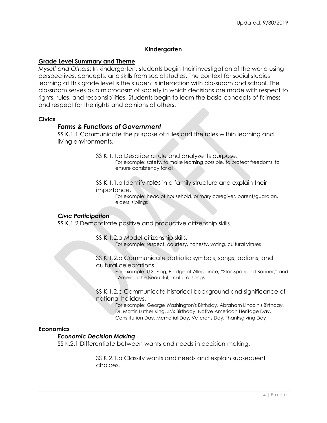# **Kindergarten**

# **Grade Level Summary and Theme**

*Myself and Others*: In kindergarten, students begin their investigation of the world using perspectives, concepts, and skills from social studies. The context for social studies learning at this grade level is the student's interaction with classroom and school. The classroom serves as a microcosm of society in which decisions are made with respect to rights, rules, and responsibilities. Students begin to learn the basic concepts of fairness and respect for the rights and opinions of others.

### **Civics**

# *Forms & Functions of Government*

SS K.1.1 Communicate the purpose of rules and the roles within learning and living environments.

SS K.1.1.a Describe a rule and analyze its purpose.

For example: safety, to make learning possible, to protect freedoms, to ensure consistency for all

SS K.1.1.b Identify roles in a family structure and explain their importance.

> For example: head of household, primary caregiver, parent/guardian, elders, siblings

### *Civic Participation*

SS K.1.2 Demonstrate positive and productive citizenship skills.

SS K.1.2.a Model citizenship skills.

For example: respect, courtesy, honesty, voting, cultural virtues

SS K.1.2.b Communicate patriotic symbols, songs, actions, and cultural celebrations.

> For example: U.S. Flag, Pledge of Allegiance, "Star-Spangled Banner," and "America the Beautiful," cultural songs

SS K.1.2.c Communicate historical background and significance of national holidays.

For example: George Washington's Birthday, Abraham Lincoln's Birthday,

Dr. Martin Luther King, Jr.'s Birthday, Native American Heritage Day,

Constitution Day, Memorial Day, Veterans Day, Thanksgiving Day

### **Economics**

# *Economic Decision Making*

SS K.2.1 Differentiate between wants and needs in decision-making.

SS K.2.1.a Classify wants and needs and explain subsequent choices.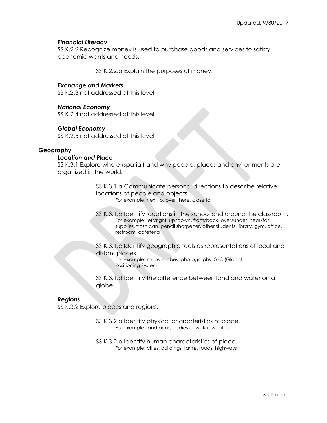# *Financial Literacy*

SS K.2.2 Recognize money is used to purchase goods and services to satisfy economic wants and needs.

SS K.2.2.a Explain the purposes of money.

# *Exchange and Markets*

SS K.2.3 not addressed at this level

# *National Economy*

SS K.2.4 not addressed at this level

# *Global Economy*

SS K.2.5 not addressed at this level

# **Geography**

# *Location and Place*

SS K.3.1 Explore where (spatial) and why people, places and environments are organized in the world.

> SS K.3.1.a Communicate personal directions to describe relative locations of people and objects.

For example: next to, over there, close to

SS K.3.1.b Identify locations in the school and around the classroom. For example: left/right, up/down, front/back, over/under, near/farsupplies, trash can, pencil sharpener, other students, library, gym, office, restroom, cafeteria

SS K.3.1.c Identify geographic tools as representations of local and distant places.

For example: maps, globes, photographs, GPS (Global Positioning System)

SS K.3.1.d Identify the difference between land and water on a globe.

# *Regions*

SS K.3.2 Explore places and regions.

SS K.3.2.a Identify physical characteristics of place. For example: landforms, bodies of water, weather

SS K.3.2.b Identify human characteristics of place. For example: cities, buildings, farms, roads, highways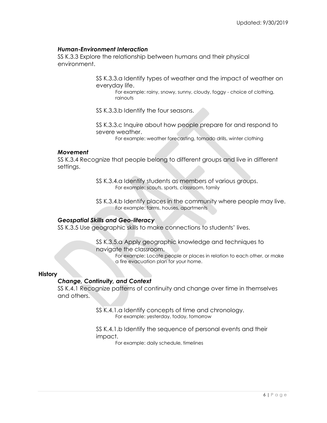# *Human-Environment Interaction*

SS K.3.3 Explore the relationship between humans and their physical environment.

> SS K.3.3.a Identify types of weather and the impact of weather on everyday life.

For example: rainy, snowy, sunny, cloudy, foggy - choice of clothing, rainouts

SS K.3.3.b Identify the four seasons.

SS K.3.3.c Inquire about how people prepare for and respond to severe weather.

For example: weather forecasting, tornado drills, winter clothing

### *Movement*

SS K.3.4 Recognize that people belong to different groups and live in different settings.

> SS K.3.4.a Identify students as members of various groups. For example: scouts, sports, classroom, family

SS K.3.4.b Identify places in the community where people may live. For example: farms, houses, apartments

# *Geospatial Skills and Geo-literacy*

SS K.3.5 Use geographic skills to make connections to students' lives.

SS K.3.5.a Apply geographic knowledge and techniques to navigate the classroom.

> For example: Locate people or places in relation to each other, or make a fire evacuation plan for your home.

### **History**

# *Change, Continuity, and Context*

SS K.4.1 Recognize patterns of continuity and change over time in themselves and others.

> SS K.4.1.a Identify concepts of time and chronology. For example: yesterday, today, tomorrow

SS K.4.1.b Identify the sequence of personal events and their impact.

For example: daily schedule, timelines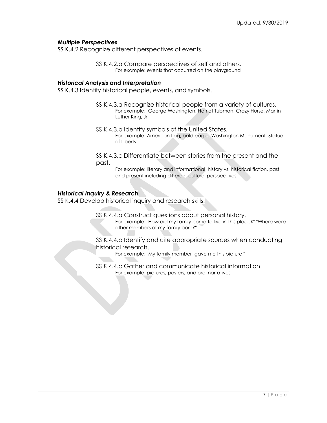# *Multiple Perspectives*

SS K.4.2 Recognize different perspectives of events.

SS K.4.2.a Compare perspectives of self and others. For example: events that occurred on the playground

### *Historical Analysis and Interpretation*

SS K.4.3 Identify historical people, events, and symbols.

- SS K.4.3.a Recognize historical people from a variety of cultures. For example: George Washington, Harriet Tubman, Crazy Horse, Martin Luther King, Jr.
- SS K.4.3.b Identify symbols of the United States. For example: American flag, bald eagle, Washington Monument, Statue of Liberty

SS K.4.3.c Differentiate between stories from the present and the past.

For example: literary and informational, history vs. historical fiction, past and present including different cultural perspectives

### *Historical Inquiry & Research*

SS K.4.4 Develop historical inquiry and research skills.

- SS K.4.4.a Construct questions about personal history.
	- For example: "How did my family come to live in this place?" "Where were other members of my family born?"

SS K.4.4.b Identify and cite appropriate sources when conducting historical research.

- For example: "My family member gave me this picture."
- SS K.4.4.c Gather and communicate historical information. For example: pictures, posters, and oral narratives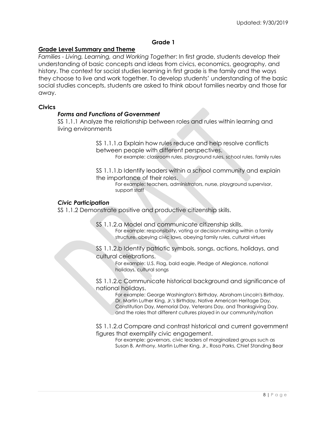# **Grade 1**

# **Grade Level Summary and Theme**

*Families - Living, Learning, and Working Together*: In first grade, students develop their understanding of basic concepts and ideas from civics, economics, geography, and history. The context for social studies learning in first grade is the family and the ways they choose to live and work together. To develop students' understanding of the basic social studies concepts, students are asked to think about families nearby and those far away.

### **Civics**

### *Forms and Functions of Government*

SS 1.1.1 Analyze the relationship between roles and rules within learning and living environments

> SS 1.1.1.a Explain how rules reduce and help resolve conflicts between people with different perspectives. For example: classroom rules, playground rules, school rules, family rules

> SS 1.1.1.b Identify leaders within a school community and explain the importance of their roles.

> > For example: teachers, administrators, nurse, playground supervisor, support staff

### *Civic Participation*

SS 1.1.2 Demonstrate positive and productive citizenship skills.

SS 1.1.2.a Model and communicate citizenship skills. For example: responsibility, voting or decision-making within a family structure, obeying civic laws, obeying family rules, cultural virtues

SS 1.1.2.b Identify patriotic symbols, songs, actions, holidays, and cultural celebrations.

> For example: U.S. Flag, bald eagle, Pledge of Allegiance, national holidays, cultural songs

SS 1.1.2.c Communicate historical background and significance of national holidays.

For example: George Washington's Birthday, Abraham Lincoln's Birthday, Dr. Martin Luther King, Jr.'s Birthday, Native American Heritage Day, Constitution Day, Memorial Day, Veterans Day, and Thanksgiving Day, and the roles that different cultures played in our community/nation

SS 1.1.2.d Compare and contrast historical and current government figures that exemplify civic engagement.

For example: governors, civic leaders of marginalized groups such as Susan B. Anthony, Martin Luther King, Jr., Rosa Parks, Chief Standing Bear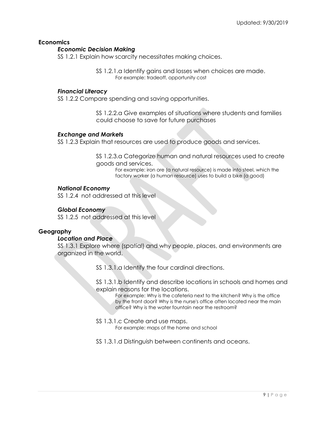# **Economics**

# *Economic Decision Making*

SS 1.2.1 Explain how scarcity necessitates making choices.

SS 1.2.1.a Identify gains and losses when choices are made. For example: tradeoff, opportunity cost

# *Financial Literacy*

SS 1.2.2 Compare spending and saving opportunities.

SS 1.2.2.a Give examples of situations where students and families could choose to save for future purchases

### *Exchange and Markets*

SS 1.2.3 Explain that resources are used to produce goods and services.

SS 1.2.3.a Categorize human and natural resources used to create goods and services.

> For example: iron ore (a natural resource) is made into steel, which the factory worker (a human resource) uses to build a bike (a good)

# *National Economy*

SS 1.2.4 not addressed at this level

# *Global Economy*

SS 1.2.5 not addressed at this level

# **Geography**

### *Location and Place*

SS 1.3.1 Explore where (spatial) and why people, places, and environments are organized in the world.

SS 1.3.1.a Identify the four cardinal directions.

SS 1.3.1.b Identify and describe locations in schools and homes and explain reasons for the locations.

For example: Why is the cafeteria next to the kitchen? Why is the office by the front door? Why is the nurse's office often located near the main office? Why is the water fountain near the restroom?

SS 1.3.1.c Create and use maps.

For example: maps of the home and school

SS 1.3.1.d Distinguish between continents and oceans.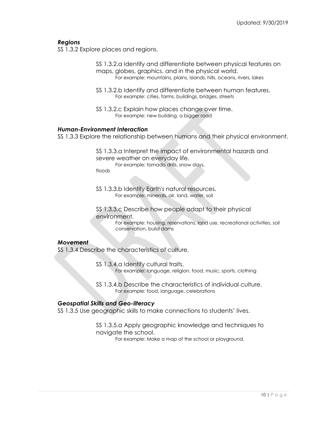# *Regions*

SS 1.3.2 Explore places and regions.

SS 1.3.2.a Identify and differentiate between physical features on maps, globes, graphics, and in the physical world. For example: mountains, plains, islands, hills, oceans, rivers, lakes

- SS 1.3.2.b Identify and differentiate between human features. For example: cities, farms, buildings, bridges, streets
- SS 1.3.2.c Explain how places change over time. For example: new building, a bigger road

# *Human-Environment Interaction*

SS 1.3.3 Explore the relationship between humans and their physical environment.

SS 1.3.3.a Interpret the impact of environmental hazards and severe weather on everyday life. For example: tornado drills, snow days,

floods

SS 1.3.3.b Identify Earth's natural resources. For example: minerals, air, land, water, soil

SS 1.3.3.c Describe how people adapt to their physical environment.

> For example: housing, reservations, land use, recreational activities, soil conservation, build dams

#### *Movement*

SS 1.3.4 Describe the characteristics of culture.

SS 1.3.4.a Identify cultural traits. For example: language, religion, food, music, sports, clothing

SS 1.3.4.b Describe the characteristics of individual culture. For example: food, language, celebrations

### *Geospatial Skills and Geo-literacy*

SS 1.3.5 Use geographic skills to make connections to students' lives.

SS 1.3.5.a Apply geographic knowledge and techniques to navigate the school.

For example: Make a map of the school or playground.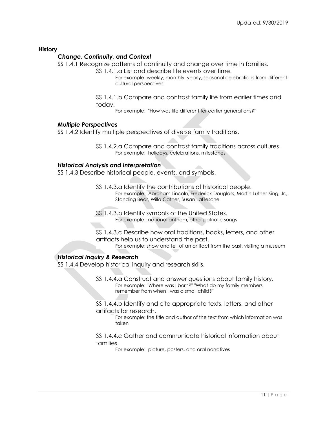# **History**

# *Change, Continuity, and Context*

SS 1.4.1 Recognize patterns of continuity and change over time in families.

- SS 1.4.1.a List and describe life events over time.
	- For example: weekly, monthly, yearly, seasonal celebrations from different cultural perspectives
- SS 1.4.1.b Compare and contrast family life from earlier times and today.
	- For example: "How was life different for earlier generations?"

### *Multiple Perspectives*

SS 1.4.2 Identify multiple perspectives of diverse family traditions.

SS 1.4.2.a Compare and contrast family traditions across cultures. For example: holidays, celebrations, milestones

# *Historical Analysis and Interpretation*

SS 1.4.3 Describe historical people, events, and symbols.

- SS 1.4.3.a Identify the contributions of historical people. For example: Abraham Lincoln, Frederick Douglass, Martin Luther King, Jr., Standing Bear, Willa Cather, Susan LaFlesche
- SS 1.4.3.b Identify symbols of the United States. For example: national anthem, other patriotic songs
- SS 1.4.3.c Describe how oral traditions, books, letters, and other artifacts help us to understand the past.

For example: show and tell of an artifact from the past, visiting a museum

# *Historical Inquiry & Research*

SS 1.4.4 Develop historical inquiry and research skills.

SS 1.4.4.a Construct and answer questions about family history. For example: "Where was I born?" "What do my family members remember from when I was a small child?"

SS 1.4.4.b Identify and cite appropriate texts, letters, and other artifacts for research.

For example: the title and author of the text from which information was taken

SS 1.4.4.c Gather and communicate historical information about families.

For example: picture, posters, and oral narratives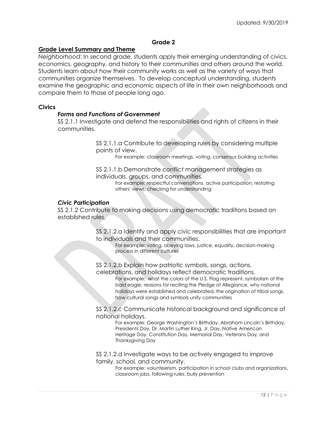# **Grade 2**

# **Grade Level Summary and Theme**

*Neighborhood*: In second grade, students apply their emerging understanding of civics, economics, geography, and history to their communities and others around the world. Students learn about how their community works as well as the variety of ways that communities organize themselves. To develop conceptual understanding, students examine the geographic and economic aspects of life in their own neighborhoods and compare them to those of people long ago.

### **Civics**

### *Forms and Functions of Government*

SS 2.1.1 Investigate and defend the responsibilities and rights of citizens in their communities.

> SS 2.1.1.a Contribute to developing rules by considering multiple points of view.

For example: classroom meetings, voting, consensus building activities

SS 2.1.1.b Demonstrate conflict management strategies as individuals, groups, and communities.

For example: respectful conversations, active participation, restating others' views, checking for understanding

### *Civic Participation*

SS 2.1.2 Contribute to making decisions using democratic traditions based on established rules.

> SS 2.1.2.a Identify and apply civic responsibilities that are important to individuals and their communities.

For example: voting, obeying laws, justice, equality, decision-making process in different cultures

SS 2.1.2.b Explain how patriotic symbols, songs, actions,

celebrations, and holidays reflect democratic traditions.

For example: what the colors of the U.S. Flag represent, symbolism of the bald eagle, reasons for reciting the Pledge of Allegiance, why national holidays were established and celebrated, the origination of tribal songs, how cultural songs and symbols unify communities

SS 2.1.2.c Communicate historical background and significance of national holidays.

For example: George Washington's Birthday, Abraham Lincoln's Birthday, Presidents Day, Dr. Martin Luther King, Jr. Day, Native American Heritage Day, Constitution Day, Memorial Day, Veterans Day, and Thanksgiving Day

SS 2.1.2.d Investigate ways to be actively engaged to improve family, school, and community.

For example: volunteerism, participation in school clubs and organizations, classroom jobs, following rules, bully prevention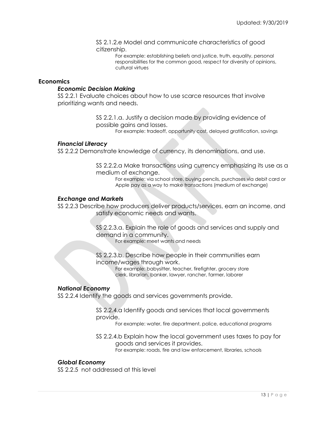### SS 2.1.2.e Model and communicate characteristics of good citizenship.

For example: establishing beliefs and justice, truth, equality, personal responsibilities for the common good, respect for diversity of opinions, cultural virtues

### **Economics**

# *Economic Decision Making*

SS 2.2.1 Evaluate choices about how to use scarce resources that involve prioritizing wants and needs.

> SS 2.2.1.a. Justify a decision made by providing evidence of possible gains and losses.

For example: tradeoff, opportunity cost, delayed gratification, savings

# *Financial Literacy*

SS 2.2.2 Demonstrate knowledge of currency, its denominations, and use.

SS 2.2.2.a Make transactions using currency emphasizing its use as a medium of exchange.

For example: via school store, buying pencils, purchases via debit card or Apple pay as a way to make transactions (medium of exchange)

# *Exchange and Markets*

SS 2.2.3 Describe how producers deliver products/services, earn an income, and satisfy economic needs and wants.

> SS 2.2.3.a. Explain the role of goods and services and supply and demand in a community.

For example: meet wants and needs

# SS 2.2.3.b. Describe how people in their communities earn income/wages through work.

For example: babysitter, teacher, firefighter, grocery store clerk, librarian, banker, lawyer, rancher, farmer, laborer

### *National Economy*

SS 2.2.4 Identify the goods and services governments provide.

SS 2.2.4.a Identify goods and services that local governments provide.

For example: water, fire department, police, educational programs

SS 2.2.4.b Explain how the local government uses taxes to pay for goods and services it provides. For example: roads, fire and law enforcement, libraries, schools

### *Global Economy*

SS 2.2.5 not addressed at this level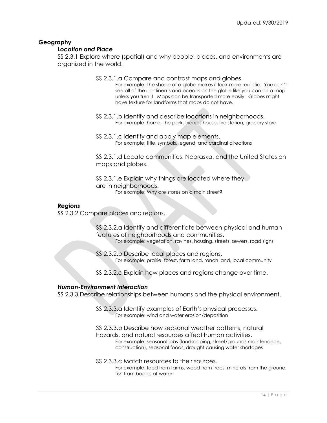# **Geography**

# *Location and Place*

SS 2.3.1 Explore where (spatial) and why people, places, and environments are organized in the world.

- SS 2.3.1.a Compare and contrast maps and globes.
	- For example: The shape of a globe makes it look more realistic. You can't see all of the continents and oceans on the globe like you can on a map unless you turn it. Maps can be transported more easily. Globes might have texture for landforms that maps do not have.
- SS 2.3.1.b Identify and describe locations in neighborhoods. For example: home, the park, friend's house, fire station, grocery store
- SS 2.3.1.c Identify and apply map elements. For example: title, symbols, legend, and cardinal directions

SS 2.3.1.d Locate communities, Nebraska, and the United States on maps and globes.

SS 2.3.1.e Explain why things are located where they are in neighborhoods. For example: Why are stores on a main street?

# *Regions*

SS 2.3.2 Compare places and regions.

SS 2.3.2.a Identify and differentiate between physical and human features of neighborhoods and communities. For example: vegetation, ravines, housing, streets, sewers, road signs

SS 2.3.2.b Describe local places and regions. For example: prairie, forest, farm land, ranch land, local community

SS 2.3.2.c Explain how places and regions change over time.

### *Human-Environment Interaction*

SS 2.3.3 Describe relationships between humans and the physical environment.

SS 2.3.3.a Identify examples of Earth's physical processes. For example: wind and water erosion/deposition

SS 2.3.3.b Describe how seasonal weather patterns, natural hazards, and natural resources affect human activities. For example: seasonal jobs (landscaping, street/grounds maintenance, construction), seasonal foods, drought causing water shortages

SS 2.3.3.c Match resources to their sources.

For example: food from farms, wood from trees, minerals from the ground, fish from bodies of water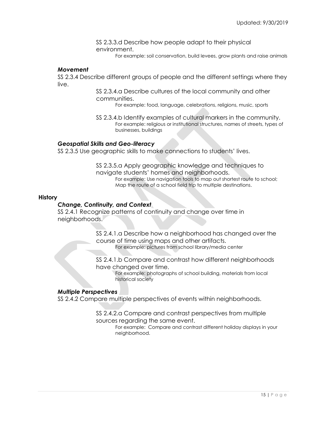SS 2.3.3.d Describe how people adapt to their physical environment.

For example: soil conservation, build levees, grow plants and raise animals

#### *Movement*

SS 2.3.4 Describe different groups of people and the different settings where they live.

> SS 2.3.4.a Describe cultures of the local community and other communities.

For example: food, language, celebrations, religions, music, sports

SS 2.3.4.b Identify examples of cultural markers in the community. For example: religious or institutional structures, names of streets, types of businesses, buildings

### *Geospatial Skills and Geo-literacy*

SS 2.3.5 Use geographic skills to make connections to students' lives.

SS 2.3.5.a Apply geographic knowledge and techniques to navigate students' homes and neighborhoods. For example: Use navigation tools to map out shortest route to school; Map the route of a school field trip to multiple destinations.

#### **History**

### *Change, Continuity, and Context*

SS 2.4.1 Recognize patterns of continuity and change over time in neighborhoods.

> SS 2.4.1.a Describe how a neighborhood has changed over the course of time using maps and other artifacts.

For example: pictures from school library/media center

SS 2.4.1.b Compare and contrast how different neighborhoods have changed over time.

For example: photographs of school building, materials from local historical society

# *Multiple Perspectives*

SS 2.4.2 Compare multiple perspectives of events within neighborhoods.

SS 2.4.2.a Compare and contrast perspectives from multiple sources regarding the same event.

> For example: Compare and contrast different holiday displays in your neighborhood.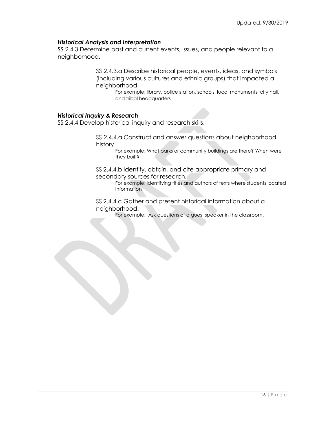# *Historical Analysis and Interpretation*

SS 2.4.3 Determine past and current events, issues, and people relevant to a neighborhood.

> SS 2.4.3.a Describe historical people, events, ideas, and symbols (including various cultures and ethnic groups) that impacted a neighborhood.

For example: library, police station, schools, local monuments, city hall, and tribal headquarters

# *Historical Inquiry & Research*

SS 2.4.4 Develop historical inquiry and research skills.

SS 2.4.4.a Construct and answer questions about neighborhood history.

For example: What parks or community buildings are there? When were they built?

SS 2.4.4.b Identify, obtain, and cite appropriate primary and secondary sources for research.

> For example: identifying titles and authors of texts where students located information

SS 2.4.4.c Gather and present historical information about a neighborhood.

For example: Ask questions of a guest speaker in the classroom.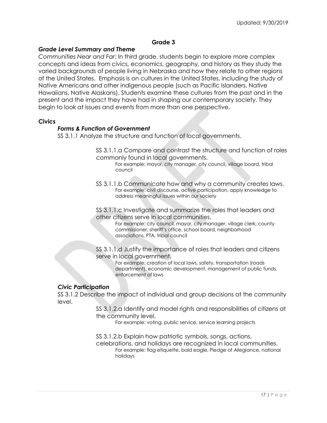# **Grade 3**

# *Grade Level Summary and Theme*

*Communities Near and Far*: In third grade, students begin to explore more complex concepts and ideas from civics, economics, geography, and history as they study the varied backgrounds of people living in Nebraska and how they relate to other regions of the United States. Emphasis is on cultures in the United States, including the study of Native Americans and other indigenous people (such as Pacific Islanders, Native Hawaiians, Native Alaskans). Students examine these cultures from the past and in the present and the impact they have had in shaping our contemporary society. They begin to look at issues and events from more than one perspective.

#### **Civics**

#### *Forms & Function of Government*

SS 3.1.1 Analyze the structure and function of local governments.

- SS 3.1.1.a Compare and contrast the structure and function of roles commonly found in local governments.
	- For example: mayor, city manager, city council, village board, tribal council
- SS 3.1.1.b Communicate how and why a community creates laws. For example: civil discourse, active participation, apply knowledge to address meaningful issues within our society

SS 3.1.1.c Investigate and summarize the roles that leaders and other citizens serve in local communities.

> For example: city council, mayor, city manager, village clerk, county commissioner, sheriff's office, school board, neighborhood associations, PTA, tribal council

SS 3.1.1.d Justify the importance of roles that leaders and citizens serve in local government.

> For example: creation of local laws, safety, transportation (roads department), economic development, management of public funds, enforcement of laws

### *Civic Participation*

SS 3.1.2 Describe the impact of individual and group decisions at the community level.

> SS 3.1.2.a Identify and model rights and responsibilities of citizens at the community level.

For example: voting, public service, service learning projects

SS 3.1.2.b Explain how patriotic symbols, songs, actions,

celebrations, and holidays are recognized in local communities. For example: flag etiquette, bald eagle, Pledge of Allegiance, national holidays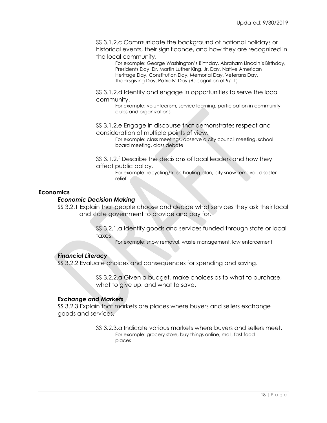SS 3.1.2.c Communicate the background of national holidays or historical events, their significance, and how they are recognized in the local community.

For example: George Washington's Birthday, Abraham Lincoln's Birthday, Presidents Day, Dr. Martin Luther King, Jr. Day, Native American Heritage Day, Constitution Day, Memorial Day, Veterans Day, Thanksgiving Day, Patriots' Day (Recognition of 9/11)

SS 3.1.2.d Identify and engage in opportunities to serve the local community.

For example: volunteerism, service learning, participation in community clubs and organizations

SS 3.1.2.e Engage in discourse that demonstrates respect and consideration of multiple points of view.

For example: class meetings, observe a city council meeting, school board meeting, class debate

SS 3.1.2.f Describe the decisions of local leaders and how they affect public policy.

For example: recycling/trash hauling plan, city snow removal, disaster relief

# **Economics**

# *Economic Decision Making*

SS 3.2.1 Explain that people choose and decide what services they ask their local and state government to provide and pay for.

> SS 3.2.1.a Identify goods and services funded through state or local taxes.

For example: snow removal, waste management, law enforcement

# *Financial Literacy*

SS 3.2.2 Evaluate choices and consequences for spending and saving.

SS 3.2.2.a Given a budget, make choices as to what to purchase, what to give up, and what to save.

### *Exchange and Markets*

SS 3.2.3 Explain that markets are places where buyers and sellers exchange goods and services.

> SS 3.2.3.a Indicate various markets where buyers and sellers meet. For example: grocery store, buy things online, mall, fast food places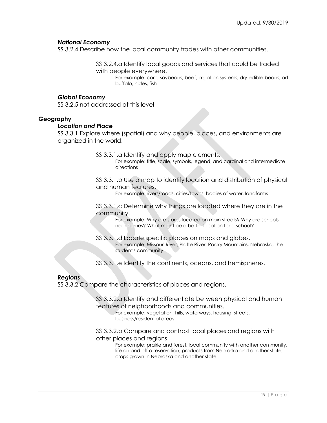# *National Economy*

SS 3.2.4 Describe how the local community trades with other communities.

SS 3.2.4.a Identify local goods and services that could be traded with people everywhere.

For example: corn, soybeans, beef, irrigation systems, dry edible beans, art buffalo, hides, fish

# *Global Economy*

SS 3.2.5 not addressed at this level

# **Geography**

# *Location and Place*

SS 3.3.1 Explore where (spatial) and why people, places, and environments are organized in the world.

SS 3.3.1.a Identify and apply map elements.

For example: title, scale, symbols, legend, and cardinal and intermediate directions

SS 3.3.1.b Use a map to identify location and distribution of physical and human features.

For example: rivers/roads, cities/towns, bodies of water, landforms

SS 3.3.1.c Determine why things are located where they are in the community.

For example: Why are stores located on main streets? Why are schools near homes? What might be a better location for a school?

SS 3.3.1.d Locate specific places on maps and globes. For example: Missouri River, Platte River, Rocky Mountains, Nebraska, the student's community

SS 3.3.1.e Identify the continents, oceans, and hemispheres.

# *Regions*

SS 3.3.2 Compare the characteristics of places and regions.

SS 3.3.2.a Identify and differentiate between physical and human features of neighborhoods and communities.

For example: vegetation, hills, waterways, housing, streets, business/residential areas

SS 3.3.2.b Compare and contrast local places and regions with other places and regions.

For example: prairie and forest, local community with another community, life on and off a reservation, products from Nebraska and another state, crops grown in Nebraska and another state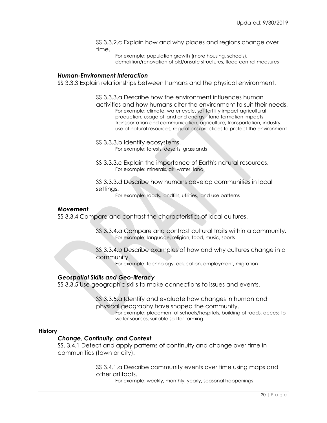SS 3.3.2.c Explain how and why places and regions change over time.

For example: population growth (more housing, schools), demolition/renovation of old/unsafe structures, flood control measures

#### *Human-Environment Interaction*

SS 3.3.3 Explain relationships between humans and the physical environment.

- SS 3.3.3.a Describe how the environment influences human activities and how humans alter the environment to suit their needs. For example: climate, water cycle, soil fertility impact agricultural production, usage of land and energy - land formation impacts transportation and communication, agriculture, transportation, industry, use of natural resources, regulations/practices to protect the environment
- SS 3.3.3.b Identify ecosystems. For example: forests, deserts, grasslands
- SS 3.3.3.c Explain the importance of Earth's natural resources. For example: minerals, air, water, land

SS 3.3.3.d Describe how humans develop communities in local settings.

For example: roads, landfills, utilities, land use patterns

### *Movement*

SS 3.3.4 Compare and contrast the characteristics of local cultures.

SS 3.3.4.a Compare and contrast cultural traits within a community. For example: language, religion, food, music, sports

SS 3.3.4.b Describe examples of how and why cultures change in a community.

For example: technology, education, employment, migration

### *Geospatial Skills and Geo-literacy*

SS 3.3.5 Use geographic skills to make connections to issues and events.

SS 3.3.5.a Identify and evaluate how changes in human and physical geography have shaped the community. For example: placement of schools/hospitals, building of roads, access to water sources, suitable soil for farming

#### **History**

#### *Change, Continuity, and Context*

SS. 3.4.1 Detect and apply patterns of continuity and change over time in communities (town or city).

> SS 3.4.1.a Describe community events over time using maps and other artifacts.

> > For example: weekly, monthly, yearly, seasonal happenings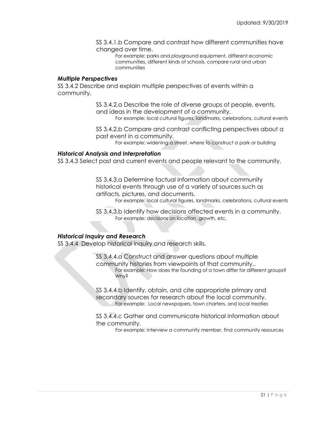SS 3.4.1.b Compare and contrast how different communities have changed over time.

For example: parks and playground equipment, different economic communities, different kinds of schools, compare rural and urban communities

### *Multiple Perspectives*

SS 3.4.2 Describe and explain multiple perspectives of events within a community.

> SS 3.4.2.a Describe the role of diverse groups of people, events, and ideas in the development of a community.

For example: local cultural figures, landmarks, celebrations, cultural events

SS 3.4.2.b Compare and contrast conflicting perspectives about a past event in a community.

For example: widening a street, where to construct a park or building

### *Historical Analysis and Interpretation*

SS 3.4.3 Select past and current events and people relevant to the community.

SS 3.4.3.a Determine factual information about community historical events through use of a variety of sources such as artifacts, pictures, and documents.

For example: local cultural figures, landmarks, celebrations, cultural events

SS 3.4.3.b Identify how decisions affected events in a community. For example: decisions on location, growth, etc.

### *Historical Inquiry and Research*

SS 3.4.4 Develop historical inquiry and research skills.

SS 3.4.4.a Construct and answer questions about multiple community histories from viewpoints of that community.. For example: How does the founding of a town differ for different groups? Why?

SS 3.4.4.b Identify, obtain, and cite appropriate primary and secondary sources for research about the local community. For example: Local newspapers, town charters, and local treaties

SS 3.4.4.c Gather and communicate historical information about the community.

For example: interview a community member, find community resources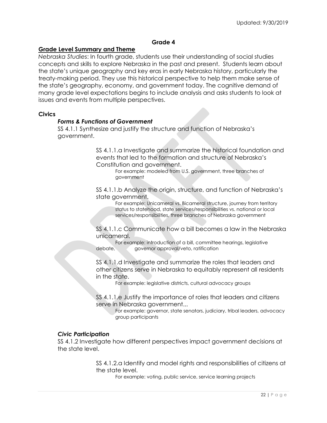# **Grade 4**

# **Grade Level Summary and Theme**

*Nebraska Studies*: In fourth grade, students use their understanding of social studies concepts and skills to explore Nebraska in the past and present. Students learn about the state's unique geography and key eras in early Nebraska history, particularly the treaty-making period. They use this historical perspective to help them make sense of the state's geography, economy, and government today. The cognitive demand of many grade level expectations begins to include analysis and asks students to look at issues and events from multiple perspectives.

### **Civics**

### *Forms & Functions of Government*

SS 4.1.1 Synthesize and justify the structure and function of Nebraska's government.

> SS 4.1.1.a Investigate and summarize the historical foundation and events that led to the formation and structure of Nebraska's Constitution and government.

For example: modeled from U.S. government, three branches of government

SS 4.1.1.b Analyze the origin, structure, and function of Nebraska's state government.

For example: Unicameral vs. Bicameral structure, journey from territory status to statehood, state services/responsibilities vs. national or local services/responsibilities, three branches of Nebraska government

SS 4.1.1.c Communicate how a bill becomes a law in the Nebraska unicameral.

For example: introduction of a bill, committee hearings, legislative debate, governor approval/veto, ratification

SS 4.1.1.d Investigate and summarize the roles that leaders and other citizens serve in Nebraska to equitably represent all residents in the state.

For example: legislative districts, cultural advocacy groups

SS 4.1.1.e Justify the importance of roles that leaders and citizens serve in Nebraska government...

For example: governor, state senators, judiciary, tribal leaders, advocacy group participants

### *Civic Participation*

SS 4.1.2 Investigate how different perspectives impact government decisions at the state level.

> SS 4.1.2.a Identify and model rights and responsibilities of citizens at the state level.

For example: voting, public service, service learning projects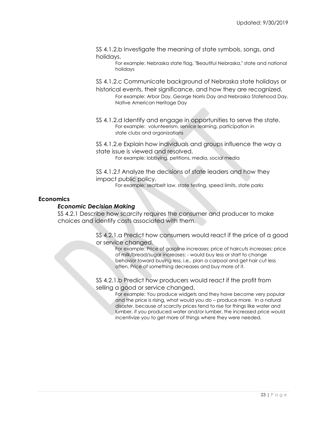SS 4.1.2.b Investigate the meaning of state symbols, songs, and holidays.

> For example: Nebraska state flag, "Beautiful Nebraska," state and national holidays

SS 4.1.2.c Communicate background of Nebraska state holidays or historical events, their significance, and how they are recognized.

For example: Arbor Day, George Norris Day and Nebraska Statehood Day, Native American Heritage Day

SS 4.1.2.d Identify and engage in opportunities to serve the state. For example: volunteerism, service learning, participation in state clubs and organizations

SS 4.1.2.e Explain how individuals and groups influence the way a state issue is viewed and resolved.

For example: lobbying, petitions, media, social media

SS 4.1.2.f Analyze the decisions of state leaders and how they impact public policy.

For example: seatbelt law, state testing, speed limits, state parks

# **Economics**

# *Economic Decision Making*

SS 4.2.1 Describe how scarcity requires the consumer and producer to make choices and identify costs associated with them.

> SS 4.2.1.a Predict how consumers would react if the price of a good or service changed.

> > For example: Price of gasoline increases; price of haircuts increases; price of milk/bread/sugar increases; - would buy less or start to change behavior toward buying less, i.e., plan a carpool and get hair cut less often. Price of something decreases and buy more of it.

SS 4.2.1.b Predict how producers would react if the profit from selling a good or service changed.

> For example: You produce widgets and they have become very popular and the price is rising, what would you do – produce more. In a natural disaster, because of scarcity prices tend to rise for things like water and lumber, if you produced water and/or lumber, the increased price would incentivize you to get more of things where they were needed.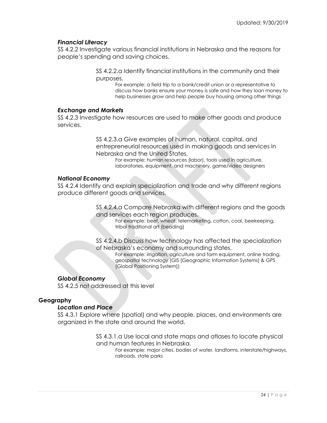# *Financial Literacy*

SS 4.2.2 Investigate various financial institutions in Nebraska and the reasons for people's spending and saving choices.

> SS 4.2.2.a Identify financial institutions in the community and their purposes.

For example: a field trip to a bank/credit union or a representative to discuss how banks ensure your money is safe and how they loan money to help businesses grow and help people buy housing among other things

# *Exchange and Markets*

SS 4.2.3 Investigate how resources are used to make other goods and produce services.

> SS 4.2.3.a Give examples of human, natural, capital, and entrepreneurial resources used in making goods and services in Nebraska and the United States.

For example: human resources (labor), tools used in agriculture, laboratories, equipment, and machinery, game/video designers

# *National Economy*

SS 4.2.4 Identify and explain specialization and trade and why different regions produce different goods and services.

> SS 4.2.4.a Compare Nebraska with different regions and the goods and services each region produces.

For example: beef, wheat, telemarketing, cotton, coal, beekeeping, tribal traditional art (beading)

SS 4.2.4.b Discuss how technology has affected the specialization of Nebraska's economy and surrounding states.

For example: irrigation, agriculture and farm equipment, online trading, geospatial technology (GIS [Geographic Information Systems] & GPS [Global Positioning System])

# *Global Economy*

SS 4.2.5 not addressed at this level

# **Geography**

### *Location and Place*

SS 4.3.1 Explore where (spatial) and why people, places, and environments are organized in the state and around the world.

> SS 4.3.1.a Use local and state maps and atlases to locate physical and human features in Nebraska.

For example: major cities, bodies of water, landforms, interstate/highways, railroads, state parks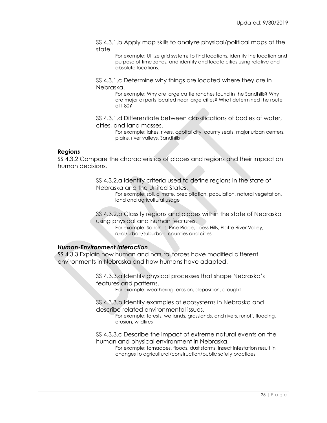SS 4.3.1.b Apply map skills to analyze physical/political maps of the state.

For example: Utilize grid systems to find locations, identify the location and purpose of time zones, and identify and locate cities using relative and absolute locations.

SS 4.3.1.c Determine why things are located where they are in Nebraska.

> For example: Why are large cattle ranches found in the Sandhills? Why are major airports located near large cities? What determined the route of I-80?

SS 4.3.1.d Differentiate between classifications of bodies of water, cities, and land masses.

For example: lakes, rivers, capital city, county seats, major urban centers, plains, river valleys, Sandhills

#### *Regions*

SS 4.3.2 Compare the characteristics of places and regions and their impact on human decisions.

> SS 4.3.2.a Identify criteria used to define regions in the state of Nebraska and the United States.

> > For example: soil, climate, precipitation, population, natural vegetation, land and agricultural usage

SS 4.3.2.b Classify regions and places within the state of Nebraska using physical and human features.

> For example: Sandhills, Pine Ridge, Loess Hills, Platte River Valley, rural/urban/suburban, counties and cities

# *Human-Environment Interaction*

SS 4.3.3 Explain how human and natural forces have modified different environments in Nebraska and how humans have adapted.

> SS 4.3.3.a Identify physical processes that shape Nebraska's features and patterns.

For example: weathering, erosion, deposition, drought

SS 4.3.3.b Identify examples of ecosystems in Nebraska and describe related environmental issues.

For example: forests, wetlands, grasslands, and rivers, runoff, flooding, erosion, wildfires

SS 4.3.3.c Describe the impact of extreme natural events on the human and physical environment in Nebraska.

For example: tornadoes, floods, dust storms, insect infestation result in changes to agricultural/construction/public safety practices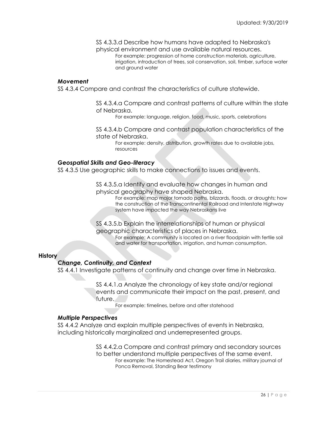SS 4.3.3.d Describe how humans have adapted to Nebraska's physical environment and use available natural resources. For example: progression of home construction materials, agriculture, irrigation, introduction of trees, soil conservation, soil, timber, surface water and ground water

#### *Movement*

SS 4.3.4 Compare and contrast the characteristics of culture statewide.

SS 4.3.4.a Compare and contrast patterns of culture within the state of Nebraska.

For example: language, religion, food, music, sports, celebrations

SS 4.3.4.b Compare and contrast population characteristics of the state of Nebraska.

For example: density, distribution, growth rates due to available jobs, resources

#### *Geospatial Skills and Geo-literacy*

SS 4.3.5 Use geographic skills to make connections to issues and events.

SS 4.3.5.a Identify and evaluate how changes in human and physical geography have shaped Nebraska.

For example: map major tornado paths, blizzards, floods, or droughts; how the construction of the Transcontinental Railroad and Interstate Highway system have impacted the way Nebraskans live

SS 4.3.5.b Explain the interrelationships of human or physical geographic characteristics of places in Nebraska.

> For example: A community is located on a river floodplain with fertile soil and water for transportation, irrigation, and human consumption.

### **History**

### *Change, Continuity, and Context*

SS 4.4.1 Investigate patterns of continuity and change over time in Nebraska.

SS 4.4.1.a Analyze the chronology of key state and/or regional events and communicate their impact on the past, present, and future.

For example: timelines, before and after statehood

#### *Multiple Perspectives*

SS 4.4.2 Analyze and explain multiple perspectives of events in Nebraska, including historically marginalized and underrepresented groups.

> SS 4.4.2.a Compare and contrast primary and secondary sources to better understand multiple perspectives of the same event. For example: The Homestead Act, Oregon Trail diaries, military journal of Ponca Removal, Standing Bear testimony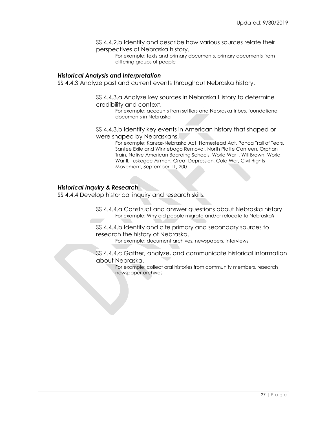SS 4.4.2.b Identify and describe how various sources relate their perspectives of Nebraska history.

For example: texts and primary documents, primary documents from differing groups of people

### *Historical Analysis and Interpretation*

SS 4.4.3 Analyze past and current events throughout Nebraska history.

SS 4.4.3.a Analyze key sources in Nebraska History to determine credibility and context.

For example: accounts from settlers and Nebraska tribes, foundational documents in Nebraska

SS 4.4.3.b Identify key events in American history that shaped or were shaped by Nebraskans.

> For example: Kansas-Nebraska Act, Homestead Act, Ponca Trail of Tears, Santee Exile and Winnebago Removal, North Platte Canteen, Orphan Train, Native American Boarding Schools, World War I, Will Brown, World War II, Tuskegee Airmen, Great Depression, Cold War, Civil Rights Movement, September 11, 2001

# *Historical Inquiry & Research*

SS 4.4.4 Develop historical inquiry and research skills.

SS 4.4.4.a Construct and answer questions about Nebraska history. For example: Why did people migrate and/or relocate to Nebraska?

SS 4.4.4.b Identify and cite primary and secondary sources to research the history of Nebraska.

For example: document archives, newspapers, interviews

SS 4.4.4.c Gather, analyze, and communicate historical information about Nebraska.

> For example: collect oral histories from community members, research newspaper archives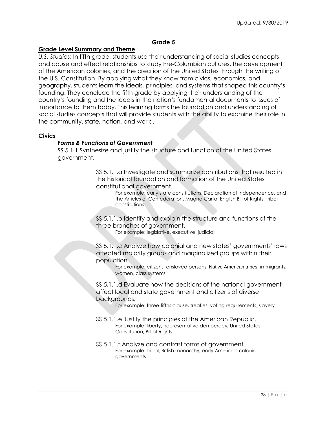# **Grade 5**

# **Grade Level Summary and Theme**

*U.S. Studies*: In fifth grade, students use their understanding of social studies concepts and cause and effect relationships to study Pre-Columbian cultures, the development of the American colonies, and the creation of the United States through the writing of the U.S. Constitution. By applying what they know from civics, economics, and geography, students learn the ideals, principles, and systems that shaped this country's founding. They conclude the fifth grade by applying their understanding of the country's founding and the ideals in the nation's fundamental documents to issues of importance to them today. This learning forms the foundation and understanding of social studies concepts that will provide students with the ability to examine their role in the community, state, nation, and world.

### **Civics**

# *Forms & Functions of Government*

SS 5.1.1 Synthesize and justify the structure and function of the United States government.

> SS 5.1.1.a Investigate and summarize contributions that resulted in the historical foundation and formation of the United States constitutional government.

> > For example: early state constitutions, Declaration of Independence, and the Articles of Confederation, Magna Carta, English Bill of Rights, tribal constitutions

SS 5.1.1.b Identify and explain the structure and functions of the three branches of government.

For example: legislative, executive, judicial

SS 5.1.1.c Analyze how colonial and new states' governments' laws affected majority groups and marginalized groups within their population.

> For example: citizens, enslaved persons, Native American tribes, immigrants, women, class systems

SS 5.1.1.d Evaluate how the decisions of the national government affect local and state government and citizens of diverse backgrounds.

For example: three-fifths clause, treaties, voting requirements, slavery

- SS 5.1.1.e Justify the principles of the American Republic. For example: liberty, representative democracy, United States Constitution, Bill of Rights
- SS 5.1.1.f Analyze and contrast forms of government. For example: Tribal, British monarchy, early American colonial governments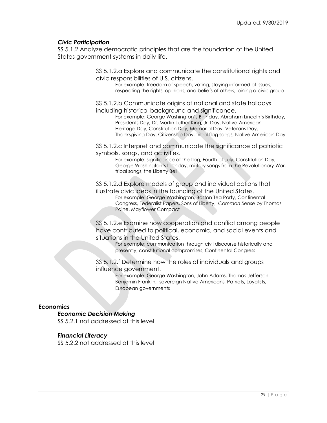# *Civic Participation*

SS 5.1.2 Analyze democratic principles that are the foundation of the United States government systems in daily life.

> SS 5.1.2.a Explore and communicate the constitutional rights and civic responsibilities of U.S. citizens.

For example: freedom of speech, voting, staying informed of issues, respecting the rights, opinions, and beliefs of others, joining a civic group

SS 5.1.2.b Communicate origins of national and state holidays including historical background and significance.

For example: George Washington's Birthday, Abraham Lincoln's Birthday, Presidents Day, Dr. Martin Luther King, Jr. Day, Native American Heritage Day, Constitution Day, Memorial Day, Veterans Day, Thanksgiving Day, Citizenship Day, tribal flag songs, Native American Day

SS 5.1.2.c Interpret and communicate the significance of patriotic symbols, songs, and activities.

For example: significance of the flag, Fourth of July, Constitution Day, George Washington's birthday, military songs from the Revolutionary War, tribal songs, the Liberty Bell

SS 5.1.2.d Explore models of group and individual actions that illustrate civic ideas in the founding of the United States.

For example: George Washington, Boston Tea Party, Continental Congress, Federalist Papers, Sons of Liberty, *Common Sense* by Thomas Paine, Mayflower Compact

SS 5.1.2.e Examine how cooperation and conflict among people have contributed to political, economic, and social events and situations in the United States.

For example: communication through civil discourse historically and presently, constitutional compromises, Continental Congress

SS 5.1.2.f Determine how the roles of individuals and groups influence government.

> For example: George Washington, John Adams, Thomas Jefferson, Benjamin Franklin, sovereign Native Americans, Patriots, Loyalists, European governments

# **Economics**

# *Economic Decision Making*

SS 5.2.1 not addressed at this level

# *Financial Literacy*

SS 5.2.2 not addressed at this level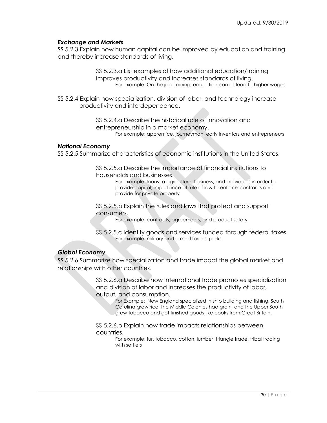# *Exchange and Markets*

SS 5.2.3 Explain how human capital can be improved by education and training and thereby increase standards of living.

> SS 5.2.3.a List examples of how additional education/training improves productivity and increases standards of living. For example: On the job training, education can all lead to higher wages.

SS 5.2.4 Explain how specialization, division of labor, and technology increase productivity and interdependence.

> SS 5.2.4.a Describe the historical role of innovation and entrepreneurship in a market economy. For example: apprentice, journeyman, early inventors and entrepreneurs

### *National Economy*

SS 5.2.5 Summarize characteristics of economic institutions in the United States.

SS 5.2.5.a Describe the importance of financial institutions to households and businesses.

> For example: loans to agriculture, business, and individuals in order to provide capital; importance of rule of law to enforce contracts and provide for private property

SS 5.2.5.b Explain the rules and laws that protect and support consumers.

For example: contracts, agreements, and product safety

SS 5.2.5.c Identify goods and services funded through federal taxes. For example: military and armed forces, parks

# *Global Economy*

SS 5.2.6 Summarize how specialization and trade impact the global market and relationships with other countries.

> SS 5.2.6.a Describe how international trade promotes specialization and division of labor and increases the productivity of labor, output, and consumption.

For Example: New England specialized in ship building and fishing, South Carolina grew rice, the Middle Colonies had grain, and the Upper South grew tobacco and got finished goods like books from Great Britain.

SS 5.2.6.b Explain how trade impacts relationships between countries.

> For example: fur, tobacco, cotton, lumber, triangle trade, tribal trading with settlers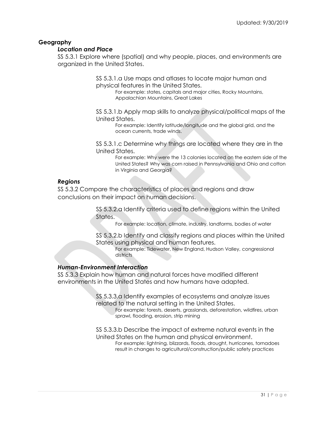# **Geography**

### *Location and Place*

SS 5.3.1 Explore where (spatial) and why people, places, and environments are organized in the United States.

> SS 5.3.1.a Use maps and atlases to locate major human and physical features in the United States.

For example: states, capitals and major cities, Rocky Mountains, Appalachian Mountains, Great Lakes

SS 5.3.1.b Apply map skills to analyze physical/political maps of the United States.

For example: Identify latitude/longitude and the global grid, and the ocean currents, trade winds.

SS 5.3.1.c Determine why things are located where they are in the United States.

> For example: Why were the 13 colonies located on the eastern side of the United States? Why was corn raised in Pennsylvania and Ohio and cotton in Virginia and Georgia?

# *Regions*

SS 5.3.2 Compare the characteristics of places and regions and draw conclusions on their impact on human decisions.

> SS 5.3.2.a Identify criteria used to define regions within the United States.

For example: location, climate, industry, landforms, bodies of water

SS 5.3.2.b Identify and classify regions and places within the United States using physical and human features.

For example: Tidewater, New England, Hudson Valley, congressional districts

# *Human-Environment Interaction*

SS 5.3.3 Explain how human and natural forces have modified different environments in the United States and how humans have adapted.

> SS 5.3.3.a Identify examples of ecosystems and analyze issues related to the natural setting in the United States.

For example: forests, deserts, grasslands, deforestation, wildfires, urban sprawl, flooding, erosion, strip mining

SS 5.3.3.b Describe the impact of extreme natural events in the United States on the human and physical environment.

For example: lightning, blizzards, floods, drought, hurricanes, tornadoes result in changes to agricultural/construction/public safety practices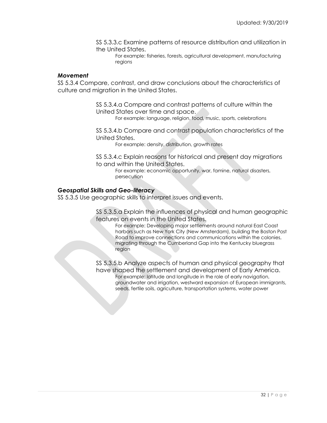SS 5.3.3.c Examine patterns of resource distribution and utilization in the United States.

For example: fisheries, forests, agricultural development, manufacturing regions

### *Movement*

SS 5.3.4 Compare, contrast, and draw conclusions about the characteristics of culture and migration in the United States.

> SS 5.3.4.a Compare and contrast patterns of culture within the United States over time and space. For example: language, religion, food, music, sports, celebrations

SS 5.3.4.b Compare and contrast population characteristics of the United States.

For example: density, distribution, growth rates

SS 5.3.4.c Explain reasons for historical and present day migrations to and within the United States.

For example: economic opportunity, war, famine, natural disasters, persecution

### *Geospatial Skills and Geo-literacy*

SS 5.3.5 Use geographic skills to interpret issues and events.

SS 5.3.5.a Explain the influences of physical and human geographic features on events in the United States.

For example: Developing major settlements around natural East Coast harbors such as New York City (New Amsterdam), building the Boston Post Road to improve connections and communications within the colonies, migrating through the Cumberland Gap into the Kentucky bluegrass region

SS 5.3.5.b Analyze aspects of human and physical geography that have shaped the settlement and development of Early America. For example: latitude and longitude in the role of early navigation, groundwater and irrigation, westward expansion of European immigrants, seeds, fertile soils, agriculture, transportation systems, water power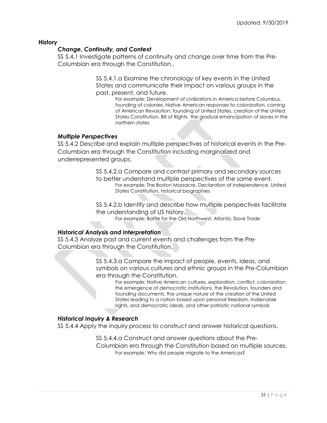# **History**

# *Change, Continuity, and Context*

SS 5.4.1 Investigate patterns of continuity and change over time from the Pre-Columbian era through the Constitution..

> SS 5.4.1.a Examine the chronology of key events in the United States and communicate their impact on various groups in the past, present, and future.

For example: Development of civilizations in America before Columbus, founding of colonies, Native American responses to colonization, coming of American Revolution, founding of United States, creation of the United States Constitution, Bill of Rights, the gradual emancipation of slaves in the northern states

# *Multiple Perspectives*

SS 5.4.2 Describe and explain multiple perspectives of historical events in the Pre-Columbian era through the Constitution including marginalized and underrepresented groups.

> SS 5.4.2.a Compare and contrast primary and secondary sources to better understand multiple perspectives of the same event. For example: The Boston Massacre, Declaration of Independence, United States Constitution, historical biographies

> SS 5.4.2.b Identify and describe how multiple perspectives facilitate the understanding of US history. For example: Battle for the Old Northwest, Atlantic Slave Trade

# *Historical Analysis and Interpretation*

SS 5.4.3 Analyze past and current events and challenges from the Pre-Columbian era through the Constitution.

> SS 5.4.3.a Compare the impact of people, events, ideas, and symbols on various cultures and ethnic groups in the Pre-Columbian era through the Constitution.

For example: Native American cultures, exploration, conflict, colonization, the emergence of democratic institutions, the Revolution, founders and founding documents, the unique nature of the creation of the United States leading to a nation based upon personal freedom, inalienable rights, and democratic ideals, and other patriotic national symbols

# *Historical Inquiry & Research*

SS 5.4.4 Apply the inquiry process to construct and answer historical questions.

SS 5.4.4.a Construct and answer questions about the Pre-Columbian era through the Constitution based on multiple sources.

For example: Why did people migrate to the Americas?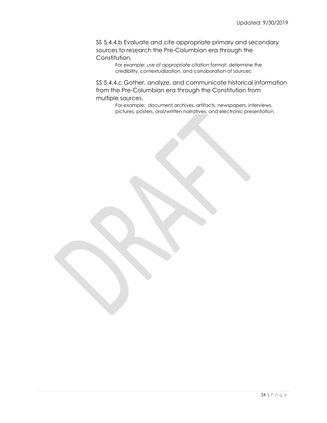SS 5.4.4.b Evaluate and cite appropriate primary and secondary sources to research the Pre-Columbian era through the Constitution.

> For example: use of appropriate citation format; determine the credibility, contextualization, and corroboration of sources.

SS 5.4.4.c Gather, analyze, and communicate historical information from the Pre-Columbian era through the Constitution from multiple sources.

For example: document archives, artifacts, newspapers, interviews, pictures, posters, oral/written narratives, and electronic presentation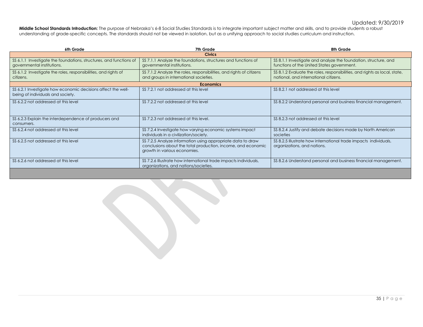# Updated: 9/30/2019

**Middle School Standards Introduction:** The purpose of Nebraska's 6-8 Social Studies Standards is to integrate important subject matter and skills, and to provide students a robust understanding of grade-specific concepts. The standards should not be viewed in isolation, but as a unifying approach to social studies curriculum and instruction.

| 6th Grade                                                                                         | 7th Grade                                                                                                                                                   | 8th Grade                                                                                                           |  |  |
|---------------------------------------------------------------------------------------------------|-------------------------------------------------------------------------------------------------------------------------------------------------------------|---------------------------------------------------------------------------------------------------------------------|--|--|
| <b>Civics</b>                                                                                     |                                                                                                                                                             |                                                                                                                     |  |  |
| SS 6.1.1 Investigate the foundations, structures, and functions of<br>governmental institutions.  | SS 7.1.1 Analyze the foundations, structures and functions of<br>governmental institutions.                                                                 | SS 8.1.1 Investigate and analyze the foundation, structure, and<br>functions of the United States government.       |  |  |
| SS 6.1.2 Investigate the roles, responsibilities, and rights of<br>citizens.                      | SS 7.1.2 Analyze the roles, responsibilities, and rights of citizens<br>and groups in international societies.                                              | SS 8.1.2 Evaluate the roles, responsibilities, and rights as local, state,<br>national, and international citizens. |  |  |
| <b>Economics</b>                                                                                  |                                                                                                                                                             |                                                                                                                     |  |  |
| SS 6.2.1 Investigate how economic decisions affect the well-<br>being of individuals and society. | SS 7.2.1 not addressed at this level                                                                                                                        | SS 8.2.1 not addressed at this level                                                                                |  |  |
| SS 6.2.2 not addressed at this level                                                              | SS 7.2.2 not addressed at this level                                                                                                                        | SS 8.2.2 Understand personal and business financial management.                                                     |  |  |
| SS 6.2.3 Explain the interdependence of producers and<br>consumers.                               | SS 7.2.3 not addressed at this level.                                                                                                                       | SS 8.2.3 not addressed at this level                                                                                |  |  |
| SS 6.2.4 not addressed at this level                                                              | SS 7.2.4 Investigate how varying economic systems impact<br>individuals in a civilization/society.                                                          | SS 8.2.4 Justify and debate decisions made by North American<br>societies                                           |  |  |
| SS 6.2.5 not addressed at this level                                                              | SS 7.2.5 Analyze information using appropriate data to draw<br>conclusions about the total production, income, and economic<br>growth in various economies. | SS 8.2.5 Illustrate how international trade impacts individuals,<br>organizations, and nations.                     |  |  |
| SS 6.2.6 not addressed at this level                                                              | SS 7.2.6 Illustrate how international trade impacts individuals,<br>organizations, and nations/societies.                                                   | SS 8.2.6 Understand personal and business financial management.                                                     |  |  |
|                                                                                                   |                                                                                                                                                             |                                                                                                                     |  |  |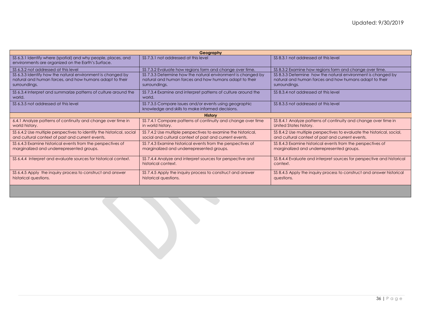| Geography                                                                                                                               |                                                                                                                                         |                                                                                                                                         |  |
|-----------------------------------------------------------------------------------------------------------------------------------------|-----------------------------------------------------------------------------------------------------------------------------------------|-----------------------------------------------------------------------------------------------------------------------------------------|--|
| SS 6.3.1 Identify where (spatial) and why people, places, and<br>environments are organized on the Earth's Surface.                     | SS 7.3.1 not addressed at this level                                                                                                    | SS 8.3.1 not addressed at this level                                                                                                    |  |
| SS 6.3.2 not addressed at this level                                                                                                    | SS 7.3.2 Evaluate how regions form and change over time.                                                                                | SS 8.3.2 Examine how regions form and change over time.                                                                                 |  |
| SS 6.3.3 Identify how the natural environment is changed by<br>natural and human forces, and how humans adapt to their<br>surroundings. | SS 7.3.3 Determine how the natural environment is changed by<br>natural and human forces and how humans adapt to their<br>surroundings. | SS 8.3.3 Determine how the natural environment is changed by<br>natural and human forces and how humans adapt to their<br>surroundings. |  |
| SS 6.3.4 Interpret and summarize patterns of culture around the<br>world.                                                               | SS 7.3.4 Examine and interpret patterns of culture around the<br>world.                                                                 | SS 8.3.4 not addressed at this level                                                                                                    |  |
| SS 6.3.5 not addressed at this level                                                                                                    | SS 7.3.5 Compare issues and/or events using geographic<br>knowledge and skills to make informed decisions.                              | SS 8.3.5 not addressed at this level                                                                                                    |  |
| <b>History</b>                                                                                                                          |                                                                                                                                         |                                                                                                                                         |  |
| 6.4.1 Analyze patterns of continuity and change over time in<br>world history.                                                          | SS 7.4.1 Compare patterns of continuity and change over time<br>in world history.                                                       | SS 8.4.1 Analyze patterns of continuity and change over time in<br>United States history.                                               |  |
| SS 6.4.2 Use multiple perspectives to identify the historical, social<br>and cultural context of past and current events.               | SS 7.4.2 Use multiple perspectives to examine the historical,<br>social and cultural context of past and current events.                | SS 8.4.2 Use multiple perspectives to evaluate the historical, social,<br>and cultural context of past and current events.              |  |
| SS 6.4.3 Examine historical events from the perspectives of<br>marginalized and underrepresented groups.                                | SS 7.4.3 Examine historical events from the perspectives of<br>marginalized and underrepresented groups.                                | SS 8.4.3 Examine historical events from the perspectives of<br>marginalized and underrepresented groups.                                |  |
| SS 6.4.4 Interpret and evaluate sources for historical context.                                                                         | SS 7.4.4 Analyze and interpret sources for perspective and<br>historical context.                                                       | SS 8.4.4 Evaluate and interpret sources for perspective and historical<br>context.                                                      |  |
| SS 6.4.5 Apply the inquiry process to construct and answer<br>historical questions.                                                     | SS 7.4.5 Apply the inquiry process to construct and answer<br>historical questions.                                                     | SS 8.4.5 Apply the inquiry process to construct and answer historical<br>questions.                                                     |  |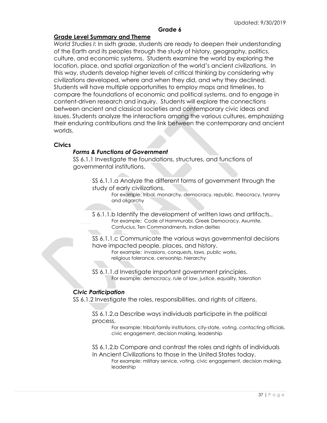# **Grade 6**

# **Grade Level Summary and Theme**

*World Studies I*: In sixth grade, students are ready to deepen their understanding of the Earth and its peoples through the study of history, geography, politics, culture, and economic systems. Students examine the world by exploring the location, place, and spatial organization of the world's ancient civilizations. In this way, students develop higher levels of critical thinking by considering why civilizations developed, where and when they did, and why they declined. Students will have multiple opportunities to employ maps and timelines, to compare the foundations of economic and political systems, and to engage in content-driven research and inquiry. Students will explore the connections between ancient and classical societies and contemporary civic ideas and issues. Students analyze the interactions among the various cultures, emphasizing their enduring contributions and the link between the contemporary and ancient worlds.

# **Civics**

# *Forms & Functions of Government*

SS 6.1.1 Investigate the foundations, structures, and functions of governmental institutions.

> SS 6.1.1.a Analyze the different forms of government through the study of early civilizations.

For example: tribal, monarchy, democracy, republic, theocracy, tyranny and oligarchy

- S 6.1.1.b Identify the development of written laws and artifacts.. For example: Code of Hammurabi, Greek Democracy, Axumite, Confucius, Ten Commandments, Indian deities
- SS 6.1.1.c Communicate the various ways governmental decisions have impacted people, places, and history.

For example: invasions, conquests, laws, public works, religious tolerance, censorship, hierarchy

SS 6.1.1.d Investigate important government principles. For example: democracy, rule of law, justice, equality, toleration

# *Civic Participation*

SS 6.1.2 Investigate the roles, responsibilities, and rights of citizens.

SS 6.1.2.a Describe ways individuals participate in the political process.

For example: tribal/family institutions, city-state, voting, contacting officials, civic engagement, decision making, leadership

SS 6.1.2.b Compare and contrast the roles and rights of individuals In Ancient Civilizations to those in the United States today.

For example: military service, voting, civic engagement, decision making, leadership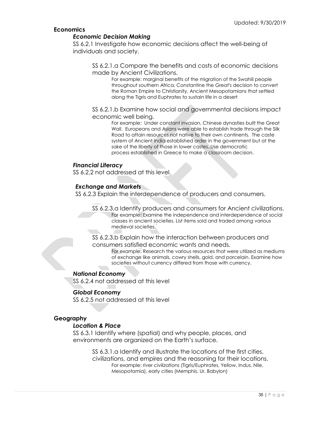# **Economics**

# *Economic Decision Making*

SS 6.2.1 Investigate how economic decisions affect the well-being of individuals and society.

SS 6.2.1.a Compare the benefits and costs of economic decisions made by Ancient Civilizations.

> For example: marginal benefits of the migration of the Swahili people throughout southern Africa, Constantine the Great's decision to convert the Roman Empire to Christianity, Ancient Mesopotamians that settled along the Tigris and Euphrates to sustain life in a desert

SS 6.2.1.b Examine how social and governmental decisions impact economic well being.

For example: Under constant invasion, Chinese dynasties built the Great Wall. Europeans and Asians were able to establish trade through the Silk Road to attain resources not native to their own continents. The caste system of Ancient India established order in the government but at the sake of the liberty of those in lower castes..Use democratic process established in Greece to make a classroom decision.

# *Financial Literacy*

SS 6.2.2 not addressed at this level

# *Exchange and Markets*

SS 6.2.3 Explain the interdependence of producers and consumers.

SS 6.2.3.a Identify producers and consumers for Ancient civilizations. For example: Examine the independence and interdependence of social classes in ancient societies. List items sold and traded among various medieval societies.

SS 6.2.3.b Explain how the interaction between producers and consumers satisfied economic wants and needs.

For example: Research the various resources that were utilized as mediums of exchange like animals, cowry shells, gold, and porcelain. Examine how societies without currency differed from those with currency.

# *National Economy*

SS 6.2.4 not addressed at this level

# *Global Economy*

SS 6.2.5 not addressed at this level

# **Geography**

# *Location & Place*

SS 6.3.1 Identify where (spatial) and why people, places, and environments are organized on the Earth's surface.

> SS 6.3.1.a Identify and illustrate the locations of the first cities, civilizations, and empires and the reasoning for their locations. For example: river civilizations (Tigris/Euphrates, Yellow, Indus, Nile, Mesopotamia), early cities (Memphis, Ur, Babylon)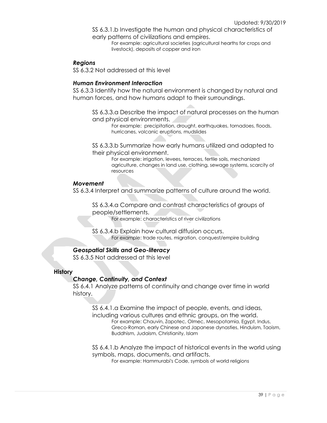SS 6.3.1.b Investigate the human and physical characteristics of early patterns of civilizations and empires.

For example: agricultural societies (agricultural hearths for crops and livestock), deposits of copper and iron

# *Regions*

SS 6.3.2 Not addressed at this level

# *Human Environment Interaction*

SS 6.3.3 Identify how the natural environment is changed by natural and human forces, and how humans adapt to their surroundings.

SS 6.3.3.a Describe the impact of natural processes on the human and physical environments.

For example: precipitation, drought, earthquakes, tornadoes, floods, hurricanes, volcanic eruptions, mudslides

SS 6.3.3.b Summarize how early humans utilized and adapted to their physical environment.

> For example: irrigation, levees, terraces, fertile soils, mechanized agriculture, changes in land use, clothing, sewage systems, scarcity of resources

### *Movement*

SS 6.3.4 Interpret and summarize patterns of culture around the world.

SS 6.3.4.a Compare and contrast characteristics of groups of people/settlements.

For example: characteristics of river civilizations

SS 6.3.4.b Explain how cultural diffusion occurs. For example: trade routes, migration, conquest/empire building

# *Geospatial Skills and Geo-literacy*

SS 6.3.5 Not addressed at this level

# **History**

# *Change, Continuity, and Context*

SS 6.4.1 Analyze patterns of continuity and change over time in world history.

SS 6.4.1.a Examine the impact of people, events, and ideas, including various cultures and ethnic groups, on the world. For example: Chauvin, Zapotec, Olmec, Mesopotamia, Egypt, Indus, Greco-Roman, early Chinese and Japanese dynasties, Hinduism, Taoism, Buddhism, Judaism, Christianity, Islam

SS 6.4.1.b Analyze the impact of historical events in the world using symbols, maps, documents, and artifacts.

For example: Hammurabi's Code, symbols of world religions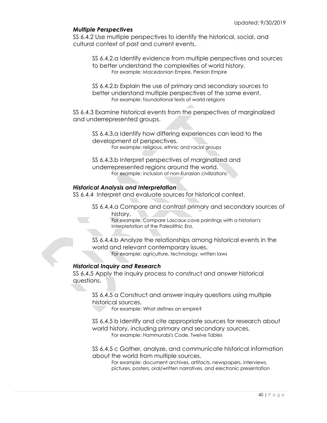# *Multiple Perspectives*

SS 6.4.2 Use multiple perspectives to identify the historical, social, and cultural context of past and current events.

SS 6.4.2.a Identify evidence from multiple perspectives and sources to better understand the complexities of world history. For example: Macedonian Empire, Persian Empire

SS 6.4.2.b Explain the use of primary and secondary sources to better understand multiple perspectives of the same event. For example: foundational texts of world religions

SS 6.4.3 Examine historical events from the perspectives of marginalized and underrepresented groups.

SS 6.4.3.a Identify how differing experiences can lead to the development of perspectives. For example: religious, ethnic and racial groups

SS 6.4.3.b Interpret perspectives of marginalized and underrepresented regions around the world. For example: inclusion of non-Eurasian civilizations

# *Historical Analysis and Interpretation*

SS 6.4.4 Interpret and evaluate sources for historical context.

SS 6.4.4.a Compare and contrast primary and secondary sources of history.

For example: Compare Lascaux cave paintings with a historian's interpretation of the Paleolithic Era.

SS 6.4.4.b Analyze the relationships among historical events in the world and relevant contemporary issues. For example: agriculture, technology, written laws

# *Historical Inquiry and Research*

SS 6.4.5 Apply the inquiry process to construct and answer historical questions.

SS 6.4.5 a Construct and answer inquiry questions using multiple historical sources.

For example: What defines an empire?

SS 6.4.5 b Identify and cite appropriate sources for research about world history, including primary and secondary sources. For example: Hammurabi's Code, Twelve Tables

SS 6.4.5 c Gather, analyze, and communicate historical information about the world from multiple sources.

For example: document archives, artifacts, newspapers, interviews, pictures, posters, oral/written narratives, and electronic presentation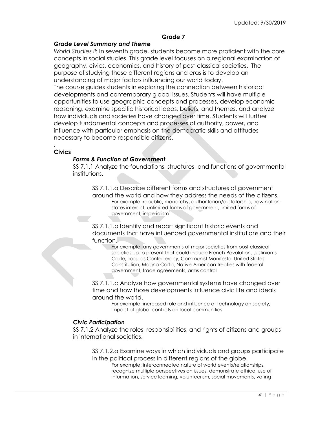# **Grade 7**

# *Grade Level Summary and Theme*

*World Studies II:* In seventh grade, students become more proficient with the core concepts in social studies. This grade level focuses on a regional examination of geography, civics, economics, and history of post-classical societies. The purpose of studying these different regions and eras is to develop an understanding of major factors influencing our world today.

The course guides students in exploring the connection between historical developments and contemporary global issues. Students will have multiple opportunities to use geographic concepts and processes, develop economic reasoning, examine specific historical ideas, beliefs, and themes, and analyze how individuals and societies have changed over time. Students will further develop fundamental concepts and processes of authority, power, and influence with particular emphasis on the democratic skills and attitudes necessary to become responsible citizens.

# **Civics**

.

# *Forms & Function of Government*

SS 7.1.1 Analyze the foundations, structures, and functions of governmental institutions.

SS 7.1.1.a Describe different forms and structures of government around the world and how they address the needs of the citizens. For example: republic, monarchy, authoritarian/dictatorship, how nationstates interact, unlimited forms of government, limited forms of government, imperialism

SS 7.1.1.b Identify and report significant historic events and documents that have influenced governmental institutions and their function.

For example: any governments of major societies from post classical societies up to present that could include French Revolution, Justinian's Code, Iroquois Confederacy, Communist Manifesto, United States Constitution, Magna Carta, Native American treaties with federal government, trade agreements, arms control

SS 7.1.1.c Analyze how governmental systems have changed over time and how those developments influence civic life and ideals around the world.

For example: increased role and influence of technology on society, impact of global conflicts on local communities

### *Civic Participation*

SS 7.1.2 Analyze the roles, responsibilities, and rights of citizens and groups in international societies.

SS 7.1.2.a Examine ways in which individuals and groups participate in the political process in different regions of the globe.

For example: interconnected nature of world events/relationships, recognize multiple perspectives on issues, demonstrate ethical use of information, service learning, volunteerism, social movements, voting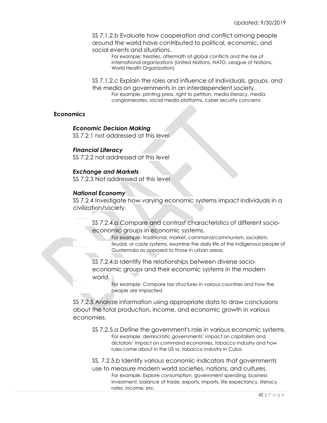SS 7.1.2.b Evaluate how cooperation and conflict among people around the world have contributed to political, economic, and social events and situations.

For example: treaties, aftermath of global conflicts and the rise of international organizations (United Nations, NATO, League of Nations, World Health Organization)

SS 7.1.2.c Explain the roles and influence of individuals, groups, and the media on governments in an interdependent society. For example: printing press, right to petition, media literacy, media conglomerates, social media platforms, cyber security concerns

# **Economics**

#### *Economic Decision Making*

SS 7.2.1 not addressed at this level

# *Financial Literacy*

SS 7.2.2 not addressed at this level

# *Exchange and Markets*

SS 7.2.3 Not addressed at this level

# *National Economy*

SS 7.2.4 Investigate how varying economic systems impact individuals in a civilization/society.

SS 7.2.4.a Compare and contrast characteristics of different socioeconomic groups in economic systems.

For example: traditional, market, command/communism, socialism, feudal, or caste systems, examine the daily life of the indigenous people of Guatemala as opposed to those in urban areas.

SS 7.2.4.b Identify the relationships between diverse socioeconomic groups and their economic systems in the modern world.

> For example: Compare tax structures in various countries and how the people are impacted.

SS 7.2.5 Analyze information using appropriate data to draw conclusions about the total production, income, and economic growth in various economies.

- SS 7.2.5.a Define the government's role in various economic systems. For example: democratic governments' impact on capitalism and dictators' impact on command economies, tobacco industry and how rules come about in the US vs. tobacco industry in Cuba
- SS. 7.2.5.b Identify various economic indicators that governments
- use to measure modern world societies, nations, and cultures. For example: Explore consumption, government spending, business investment, balance of trade, exports, imports, life expectancy, literacy rates, income, etc.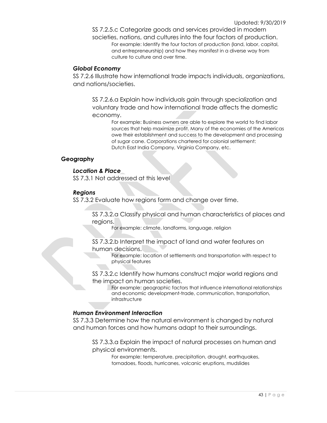SS 7.2.5.c Categorize goods and services provided in modern societies, nations, and cultures into the four factors of production. For example: Identify the four factors of production (land, labor, capital, and entrepreneurship) and how they manifest in a diverse way from culture to culture and over time.

# *Global Economy*

SS 7.2.6 Illustrate how international trade impacts individuals, organizations, and nations/societies.

SS 7.2.6.a Explain how individuals gain through specialization and voluntary trade and how international trade affects the domestic economy.

> For example: Business owners are able to explore the world to find labor sources that help maximize profit. Many of the economies of the Americas owe their establishment and success to the development and processing of sugar cane. Corporations chartered for colonial settlement: Dutch East India Company, Virginia Company, etc.

# **Geography**

# *Location & Place*

SS 7.3.1 Not addressed at this level

# *Regions*

SS 7.3.2 Evaluate how regions form and change over time.

SS 7.3.2.a Classify physical and human characteristics of places and regions.

For example: climate, landforms, language, religion

### SS 7.3.2.b Interpret the impact of land and water features on human decisions.

For example: location of settlements and transportation with respect to physical features

# SS 7.3.2.c Identify how humans construct major world regions and the impact on human societies.

For example: geographic factors that influence international relationships and economic development-trade, communication, transportation, infrastructure

# *Human Environment Interaction*

SS 7.3.3 Determine how the natural environment is changed by natural and human forces and how humans adapt to their surroundings.

SS 7.3.3.a Explain the impact of natural processes on human and physical environments.

For example: temperature, precipitation, drought, earthquakes, tornadoes, floods, hurricanes, volcanic eruptions, mudslides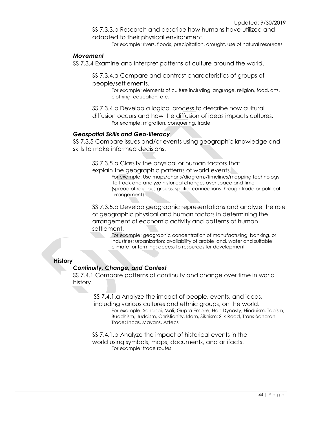SS 7.3.3.b Research and describe how humans have utilized and adapted to their physical environment.

For example: rivers, floods, precipitation, drought, use of natural resources

# *Movement*

SS 7.3.4 Examine and interpret patterns of culture around the world.

SS 7.3.4.a Compare and contrast characteristics of groups of people/settlements.

> For example: elements of culture including language, religion, food, arts, clothing, education, etc.

SS 7.3.4.b Develop a logical process to describe how cultural

diffusion occurs and how the diffusion of ideas impacts cultures. For example: migration, conquering, trade

# *Geospatial Skills and Geo-literacy*

SS 7.3.5 Compare issues and/or events using geographic knowledge and skills to make informed decisions.

SS 7.3.5.a Classify the physical or human factors that explain the geographic patterns of world events.

For example: Use maps/charts/diagrams/timelines/mapping technology to track and analyze historical changes over space and time (spread of religious groups, spatial connections through trade or political arrangement).

SS 7.3.5.b Develop geographic representations and analyze the role of geographic physical and human factors in determining the arrangement of economic activity and patterns of human settlement.

For example: geographic concentration of manufacturing, banking, or industries; urbanization; availability of arable land, water and suitable climate for farming; access to resources for development

# **History**

# *Continuity, Change, and Context*

SS 7.4.1 Compare patterns of continuity and change over time in world history.

> SS 7.4.1.a Analyze the impact of people, events, and ideas, including various cultures and ethnic groups, on the world. For example: Songhai, Mali, Gupta Empire, Han Dynasty, Hinduism, Taoism, Buddhism, Judaism, Christianity, Islam, Sikhism; Silk Road, Trans-Saharan Trade; Incas, Mayans, Aztecs

SS 7.4.1.b Analyze the impact of historical events in the world using symbols, maps, documents, and artifacts. For example: trade routes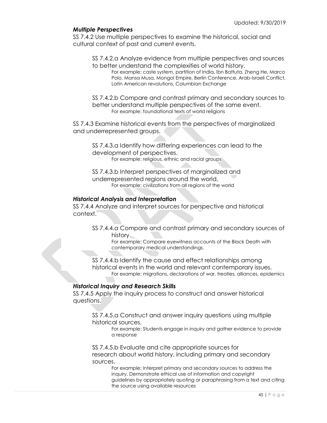# *Multiple Perspectives*

SS 7.4.2 Use multiple perspectives to examine the historical, social and cultural context of past and current events.

SS 7.4.2.a Analyze evidence from multiple perspectives and sources to better understand the complexities of world history.

For example: caste system, partition of India, Ibn Battuta, Zheng He, Marco Polo, Mansa Musa, Mongol Empire, Berlin Conference, Arab-Israeli Conflict, Latin American revolutions, Columbian Exchange

SS 7.4.2.b Compare and contrast primary and secondary sources to better understand multiple perspectives of the same event. For example: foundational texts of world religions

SS 7.4.3 Examine historical events from the perspectives of marginalized and underrepresented groups.

SS 7.4.3.a Identify how differing experiences can lead to the development of perspectives. For example: religious, ethnic and racial groups

SS 7.4.3.b Interpret perspectives of marginalized and underrepresented regions around the world. For example: civilizations from all regions of the world

# *Historical Analysis and Interpretation*

SS 7.4.4 Analyze and interpret sources for perspective and historical context.

SS 7.4.4.a Compare and contrast primary and secondary sources of history.

For example: Compare eyewitness accounts of the Black Death with contemporary medical understandings.

SS 7.4.4.b Identify the cause and effect relationships among historical events in the world and relevant contemporary issues. For example: migrations, declarations of war, treaties, alliances, epidemics

# *Historical Inquiry and Research Skills*

SS 7.4.5 Apply the inquiry process to construct and answer historical questions.

SS 7.4.5.a Construct and answer inquiry questions using multiple historical sources.

> For example: Students engage in inquiry and gather evidence to provide a response

SS 7.4.5.b Evaluate and cite appropriate sources for research about world history, including primary and secondary sources.

For example: Interpret primary and secondary sources to address the inquiry, Demonstrate ethical use of information and copyright guidelines by appropriately quoting or paraphrasing from a text and citing the source using available resources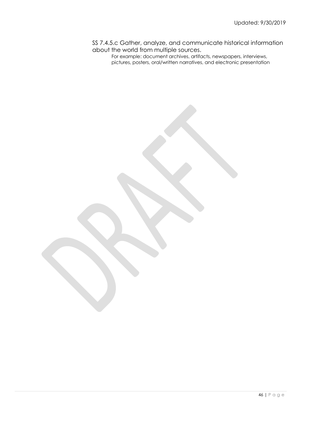SS 7.4.5.c Gather, analyze, and communicate historical information about the world from multiple sources.

For example: document archives, artifacts, newspapers, interviews, pictures, posters, oral/written narratives, and electronic presentation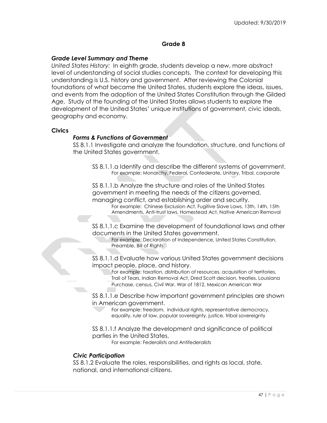# **Grade 8**

### *Grade Level Summary and Theme*

*United States History:* In eighth grade, students develop a new, more abstract level of understanding of social studies concepts. The context for developing this understanding is U.S. history and government. After reviewing the Colonial foundations of what became the United States, students explore the ideas, issues, and events from the adoption of the United States Constitution through the Gilded Age. Study of the founding of the United States allows students to explore the development of the United States' unique institutions of government, civic ideals, geography and economy.

### **Civics**

### *Forms & Functions of Government*

SS 8.1.1 Investigate and analyze the foundation, structure, and functions of the United States government.

SS 8.1.1.a Identify and describe the different systems of government. For example: Monarchy, Federal, Confederate, Unitary, Tribal, corporate

SS 8.1.1.b Analyze the structure and roles of the United States government in meeting the needs of the citizens governed, managing conflict, and establishing order and security.

For example: Chinese Exclusion Act, Fugitive Slave Laws, 13th, 14th, 15th Amendments, Anti-trust laws, Homestead Act, Native American Removal

SS 8.1.1.c Examine the development of foundational laws and other documents in the United States government.

For example: Declaration of Independence, United States Constitution, Preamble, Bill of Rights

SS 8.1.1.d Evaluate how various United States government decisions impact people, place, and history.

For example: taxation, distribution of resources, acquisition of territories, Trail of Tears, Indian Removal Act, Dred Scott decision, treaties, Louisiana Purchase, census, Civil War, War of 1812, Mexican American War

SS 8.1.1.e Describe how important government principles are shown in American government.

For example: freedom, individual rights, representative democracy, equality, rule of law, popular sovereignty, justice, tribal sovereignty

SS 8.1.1.f Analyze the development and significance of political parties in the United States.

For example: Federalists and Antifederalists

# *Civic Participation*

SS 8.1.2 Evaluate the roles, responsibilities, and rights as local, state, national, and international citizens.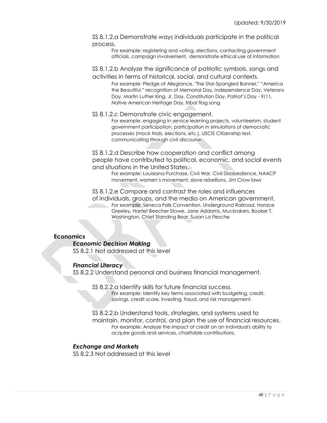SS 8.1.2.a Demonstrate ways individuals participate in the political process.

For example: registering and voting, elections, contacting government officials, campaign involvement, demonstrate ethical use of information

SS 8.1.2.b Analyze the significance of patriotic symbols, songs and activities in terms of historical, social, and cultural contexts.

For example: Pledge of Allegiance, "The Star-Spangled Banner," "America the Beautiful," recognition of Memorial Day, Independence Day, Veterans Day, Martin Luther King, Jr. Day, Constitution Day, Patriot's Day - 9/11, Native American Heritage Day, tribal flag song

### SS 8.1.2.c Demonstrate civic engagement.

For example: engaging in service learning projects, volunteerism, student government participation, participation in simulations of democratic processes (mock trials, elections, etc.), USCIS Citizenship test, communicating through civil discourse

SS 8.1.2.d Describe how cooperation and conflict among people have contributed to political, economic, and social events and situations in the United States.

For example: Louisiana Purchase, Civil War, Civil Disobedience, NAACP movement, women's movement, slave rebellions, Jim Crow laws

SS 8.1.2.e Compare and contrast the roles and influences of individuals, groups, and the media on American government. For example: Seneca Falls Convention, Underground Railroad, Horace Greeley, Harriet Beecher Stowe, Jane Addams, Muckrakers, Booker T. Washington, Chief Standing Bear, Susan La Flesche

# **Economics**

### *Economic Decision Making*

SS 8.2.1 Not addressed at this level

### *Financial Literacy*

SS 8.2.2 Understand personal and business financial management.

SS 8.2.2.a Identify skills for future financial success.

For example: Identify key terms associated with budgeting, credit, savings, credit score, investing, fraud, and risk management.

SS 8.2.2.b Understand tools, strategies, and systems used to maintain, monitor, control, and plan the use of financial resources. For example: Analyze the impact of credit on an individual's ability to acquire goods and services, charitable contributions.

### *Exchange and Markets*

SS 8.2.3 Not addressed at this level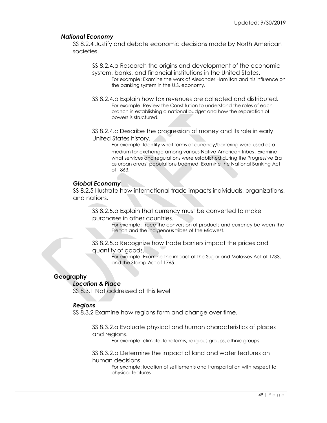# *National Economy*

SS 8.2.4 Justify and debate economic decisions made by North American societies.

SS 8.2.4.a Research the origins and development of the economic system, banks, and financial institutions in the United States. For example: Examine the work of Alexander Hamilton and his influence on the banking system in the U.S. economy.

SS 8.2.4.b Explain how tax revenues are collected and distributed. For example: Review the Constitution to understand the roles of each branch in establishing a national budget and how the separation of powers is structured.

SS 8.2.4.c Describe the progression of money and its role in early United States history.

> For example: Identify what forms of currency/bartering were used as a medium for exchange among various Native American tribes. Examine what services and regulations were established during the Progressive Era as urban areas' populations boomed. Examine the National Banking Act of 1863.

# *Global Economy*

SS 8.2.5 Illustrate how international trade impacts individuals, organizations, and nations.

SS 8.2.5.a Explain that currency must be converted to make purchases in other countries.

For example: Trace the conversion of products and currency between the French and the indigenous tribes of the Midwest.

SS 8.2.5.b Recognize how trade barriers impact the prices and quantity of goods.

For example: Examine the impact of the Sugar and Molasses Act of 1733, and the Stamp Act of 1765..

# **Geography**

# *Location & Place*

SS 8.3.1 Not addressed at this level

# *Regions*

SS 8.3.2 Examine how regions form and change over time.

SS 8.3.2.a Evaluate physical and human characteristics of places and regions.

For example: climate, landforms, religious groups, ethnic groups

SS 8.3.2.b Determine the impact of land and water features on human decisions.

For example: location of settlements and transportation with respect to physical features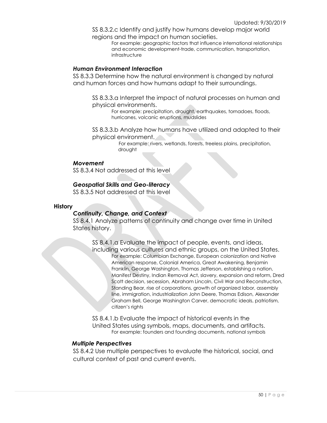SS 8.3.2.c Identify and justify how humans develop major world regions and the impact on human societies.

> For example: geographic factors that influence international relationships and economic development-trade, communication, transportation, infrastructure

### *Human Environment Interaction*

SS 8.3.3 Determine how the natural environment is changed by natural and human forces and how humans adapt to their surroundings.

SS 8.3.3.a Interpret the impact of natural processes on human and physical environments.

For example: precipitation, drought, earthquakes, tornadoes, floods, hurricanes, volcanic eruptions, mudslides

SS 8.3.3.b Analyze how humans have utilized and adapted to their physical environment.

> For example: rivers, wetlands, forests, treeless plains, precipitation, drought

#### *Movement*

SS 8.3.4 Not addressed at this level

# *Geospatial Skills and Geo-literacy*

SS 8.3.5 Not addressed at this level

#### **History**

# *Continuity, Change, and Context*

SS 8.4.1 Analyze patterns of continuity and change over time in United States history.

SS 8.4.1.a Evaluate the impact of people, events, and ideas, including various cultures and ethnic groups, on the United States. For example: Columbian Exchange, European colonization and Native American response, Colonial America, Great Awakening, Benjamin Franklin, George Washington, Thomas Jefferson, establishing a nation, Manifest Destiny, Indian Removal Act, slavery, expansion and reform, Dred Scott decision, secession, Abraham Lincoln, Civil War and Reconstruction, Standing Bear, rise of corporations, growth of organized labor, assembly line, immigration, industrialization John Deere, Thomas Edison, Alexander Graham Bell, George Washington Carver, democratic ideals, patriotism, citizen's rights

SS 8.4.1.b Evaluate the impact of historical events in the United States using symbols, maps, documents, and artifacts. For example: founders and founding documents, national symbols

### *Multiple Perspectives*

SS 8.4.2 Use multiple perspectives to evaluate the historical, social, and cultural context of past and current events.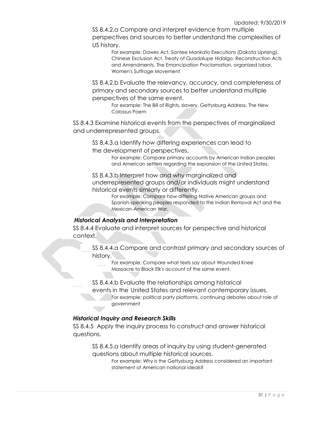SS 8.4.2.a Compare and interpret evidence from multiple perspectives and sources to better understand the complexities of US history.

> For example: Dawes Act, Santee Mankato Executions (Dakota Uprising), Chinese Exclusion Act, Treaty of Guadalupe Hidalgo, Reconstruction Acts and Amendments, The Emancipation Proclamation, organized labor, Women's Suffrage Movement

SS 8.4.2.b Evaluate the relevancy, accuracy, and completeness of primary and secondary sources to better understand multiple perspectives of the same event.

> For example: The Bill of Rights, slavery, Gettysburg Address, The New Colossus Poem

SS 8.4.3 Examine historical events from the perspectives of marginalized and underrepresented groups.

SS 8.4.3.a Identify how differing experiences can lead to the development of perspectives.

> For example: Compare primary accounts by American Indian peoples and American settlers regarding the expansion of the United States.

SS 8.4.3.b Interpret how and why marginalized and underrepresented groups and/or individuals might understand historical events similarly or differently.

For example: Compare how differing Native American groups and Spanish-speaking peoples responded to the Indian Removal Act and the Mexican-American War.

# .*Historical Analysis and Interpretation*

SS 8.4.4 Evaluate and interpret sources for perspective and historical context.

SS 8.4.4.a Compare and contrast primary and secondary sources of history.

For example: Compare what texts say about Wounded Knee Massacre to Black Elk's account of the same event.

SS 8.4.4.b Evaluate the relationships among historical

events in the United States and relevant contemporary issues.

For example: political party platforms, continuing debates about role of government

# *Historical Inquiry and Research Skills*

SS 8.4.5 Apply the inquiry process to construct and answer historical questions.

SS 8.4.5.a Identify areas of inquiry by using student-generated questions about multiple historical sources.

For example: Why is the Gettysburg Address considered an important statement of American national ideals?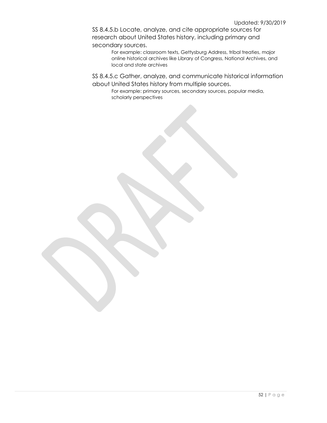SS 8.4.5.b Locate, analyze, and cite appropriate sources for research about United States history, including primary and secondary sources.

> For example: classroom texts, Gettysburg Address, tribal treaties, major online historical archives like Library of Congress, National Archives, and local and state archives

SS 8.4.5.c Gather, analyze, and communicate historical information about United States history from multiple sources.

For example: primary sources, secondary sources, popular media, scholarly perspectives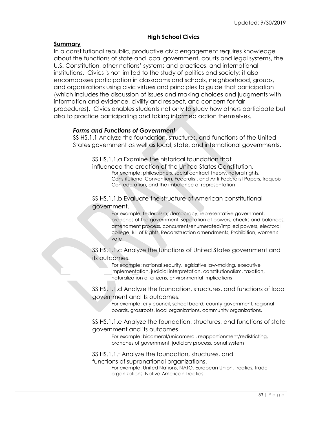# **High School Civics**

# **Summary**

In a constitutional republic, productive civic engagement requires knowledge about the functions of state and local government, courts and legal systems, the U.S. Constitution, other nations' systems and practices, and international institutions. Civics is not limited to the study of politics and society; it also encompasses participation in classrooms and schools, neighborhood, groups, and organizations using civic virtues and principles to guide that participation (which includes the discussion of issues and making choices and judgments with information and evidence, civility and respect, and concern for fair procedures). Civics enables students not only to study how others participate but also to practice participating and taking informed action themselves.

# *Forms and Functions of Government*

SS HS.1.1 Analyze the foundation, structures, and functions of the United States government as well as local, state, and international governments.

SS HS.1.1.a Examine the historical foundation that influenced the creation of the United States Constitution. For example: philosophers, social contract theory, natural rights, Constitutional Convention, Federalist, and Anti-Federalist Papers, Iroquois Confederation, and the imbalance of representation

SS HS.1.1.b Evaluate the structure of American constitutional government.

> For example: federalism, democracy, representative government, branches of the government, separation of powers, checks and balances, amendment process, concurrent/enumerated/implied powers, electoral college, Bill of Rights, Reconstruction amendments, Prohibition, women's vote

SS HS.1.1.c Analyze the functions of United States government and its outcomes.

For example: national security, legislative law-making, executive implementation, judicial interpretation, constitutionalism, taxation, naturalization of citizens, environmental implications

SS HS.1.1.d Analyze the foundation, structures, and functions of local government and its outcomes.

For example: city council, school board, county government, regional boards, grassroots, local organizations, community organizations.

SS HS.1.1.e Analyze the foundation, structures, and functions of state government and its outcomes.

For example: bicameral/unicameral, reapportionment/redistricting, branches of government, judiciary process, penal system

SS HS.1.1.f Analyze the foundation, structures, and functions of supranational organizations.

For example: United Nations, NATO, European Union, treaties, trade organizations, Native American Treaties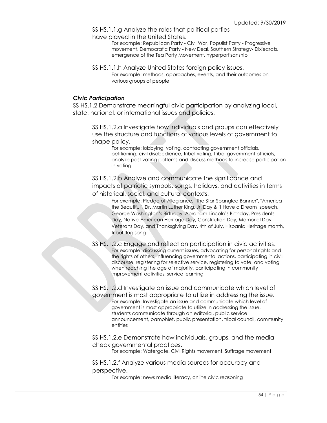SS HS.1.1.g Analyze the roles that political parties have played in the United States.

> For example: Republican Party - Civil War, Populist Party - Progressive movement, Democratic Party - New Deal, Southern Strategy- Dixiecrats, emergence of the Tea Party Movement, hyperpartisanship

SS HS.1.1.h Analyze United States foreign policy issues. For example: methods, approaches, events, and their outcomes on various groups of people

### *Civic Participation*

SS HS.1.2 Demonstrate meaningful civic participation by analyzing local, state, national, or international issues and policies.

SS HS.1.2.a Investigate how individuals and groups can effectively use the structure and functions of various levels of government to shape policy.

For example: lobbying, voting, contacting government officials, petitioning, civil disobedience, tribal voting, tribal government officials, analyze past voting patterns and discuss methods to increase participation in voting

SS HS.1.2.b Analyze and communicate the significance and impacts of patriotic symbols, songs, holidays, and activities in terms of historical, social, and cultural contexts.

> For example: Pledge of Allegiance, "The Star-Spangled Banner", "America the Beautiful", Dr. Martin Luther King, Jr. Day & "I Have a Dream" speech, George Washington's Birthday, Abraham Lincoln's Birthday, Presidents Day, Native American Heritage Day, Constitution Day, Memorial Day, Veterans Day, and Thanksgiving Day, 4th of July, Hispanic Heritage month, tribal flag song

SS HS.1.2.c Engage and reflect on participation in civic activities. For example: discussing current issues, advocating for personal rights and the rights of others, influencing governmental actions, participating in civil discourse, registering for selective service, registering to vote, and voting when reaching the age of majority, participating in community improvement activities, service learning

SS HS.1.2.d Investigate an issue and communicate which level of government is most appropriate to utilize in addressing the issue. For example: Investigate an issue and communicate which level of government is most appropriate to utilize in addressing the issue, students communicate through an editorial, public service announcement, pamphlet, public presentation, tribal council, community entities

SS HS.1.2.e Demonstrate how individuals, groups, and the media check governmental practices.

For example: Watergate, Civil Rights movement, Suffrage movement

SS HS.1.2.f Analyze various media sources for accuracy and perspective.

For example: news media literacy, online civic reasoning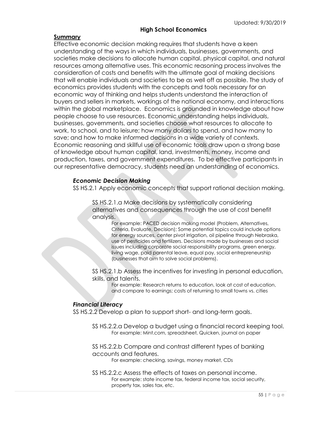# **High School Economics**

### **Summary**

Effective economic decision making requires that students have a keen understanding of the ways in which individuals, businesses, governments, and societies make decisions to allocate human capital, physical capital, and natural resources among alternative uses. This economic reasoning process involves the consideration of costs and benefits with the ultimate goal of making decisions that will enable individuals and societies to be as well off as possible. The study of economics provides students with the concepts and tools necessary for an economic way of thinking and helps students understand the interaction of buyers and sellers in markets, workings of the national economy, and interactions within the global marketplace. Economics is grounded in knowledge about how people choose to use resources. Economic understanding helps individuals, businesses, governments, and societies choose what resources to allocate to work, to school, and to leisure; how many dollars to spend, and how many to save; and how to make informed decisions in a wide variety of contexts. Economic reasoning and skillful use of economic tools draw upon a strong base of knowledge about human capital, land, investments, money, income and production, taxes, and government expenditures. To be effective participants in our representative democracy, students need an understanding of economics.

# *Economic Decision Making*

SS HS.2.1 Apply economic concepts that support rational decision making.

SS HS.2.1.a Make decisions by systematically considering alternatives and consequences through the use of cost benefit analysis.

> For example: PACED decision making model (Problem, Alternatives, Criteria, Evaluate, Decision); Some potential topics could include options for energy sources, center pivot irrigation, oil pipeline through Nebraska, use of pesticides and fertilizers. Decisions made by businesses and social issues including corporate social responsibility programs, green energy, living wage, paid parental leave, equal pay, social entrepreneurship (businesses that aim to solve social problems).

SS HS.2.1.b Assess the incentives for investing in personal education, skills, and talents.

> For example: Research returns to education, look at cost of education, and compare to earnings; costs of returning to small towns vs. cities

# *Financial Literacy*

SS HS.2.2 Develop a plan to support short- and long-term goals.

SS HS.2.2.a Develop a budget using a financial record keeping tool. For example: Mint.com, spreadsheet, Quicken, journal on paper

SS HS.2.2.b Compare and contrast different types of banking accounts and features.

For example: checking, savings, money market, CDs

SS HS.2.2.c Assess the effects of taxes on personal income. For example: state income tax, federal income tax, social security, property tax, sales tax, etc.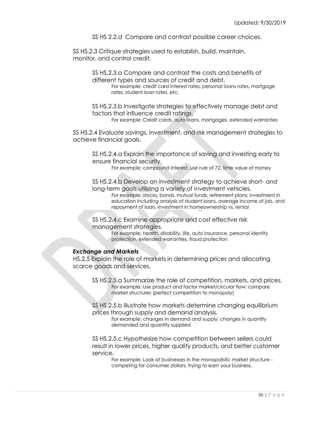SS HS 2.2.d Compare and contrast possible career choices.

SS HS.2.3 Critique strategies used to establish, build, maintain, monitor, and control credit.

> SS HS.2.3.a Compare and contrast the costs and benefits of different types and sources of credit and debt.

For example: credit card interest rates, personal loans rates, mortgage rates, student loan rates, etc.

SS HS.2.3.b Investigate strategies to effectively manage debt and factors that influence credit ratings.

For example: Credit cards, auto loans, mortgages, extended warranties

SS HS.2.4 Evaluate savings, investment, and risk management strategies to achieve financial goals.

SS HS.2.4.a Explain the importance of saving and investing early to ensure financial security.

For example: compound interest, use rule of 72, time value of money

SS HS.2.4.b Develop an investment strategy to achieve short- and long-term goals utilizing a variety of investment vehicles.

For example: stocks, bonds, mutual funds, retirement plans; investment in education including analysis of student loans, average income of job, and repayment of loan, investment in homeownership vs. rental

SS HS.2.4.c Examine appropriate and cost effective risk management strategies.

> For example: health, disability, life, auto insurance, personal identity protection, extended warranties, fraud protection

# *Exchange and Markets*

HS.2.5 Explain the role of markets in determining prices and allocating scarce goods and services.

SS HS.2.5.a Summarize the role of competition, markets, and prices. For example: Use product and factor market/circular flow; compare market structures (perfect competition to monopoly)

SS HS.2.5.b Illustrate how markets determine changing equilibrium prices through supply and demand analysis.

For example: changes in demand and supply; changes in quantity demanded and quantity supplied

SS HS.2.5.c Hypothesize how competition between sellers could result in lower prices, higher quality products, and better customer service.

For example: Look at businesses in the monopolistic market structure competing for consumer dollars, trying to earn your business.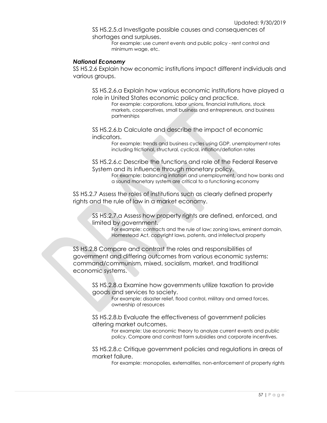SS HS.2.5.d Investigate possible causes and consequences of shortages and surpluses.

For example: use current events and public policy - rent control and minimum wage, etc.

# *National Economy*

SS HS.2.6 Explain how economic institutions impact different individuals and various groups.

SS HS.2.6.a Explain how various economic institutions have played a role in United States economic policy and practice.

For example: corporations, labor unions, financial institutions, stock markets, cooperatives, small business and entrepreneurs, and business partnerships

SS HS.2.6.b Calculate and describe the impact of economic indicators.

> For example: trends and business cycles using GDP, unemployment rates including frictional, structural, cyclical, inflation/deflation rates

SS HS.2.6.c Describe the functions and role of the Federal Reserve System and its influence through monetary policy.

> For example: balancing inflation and unemployment, and how banks and a sound monetary system are critical to a functioning economy

SS HS.2.7 Assess the roles of institutions such as clearly defined property rights and the rule of law in a market economy.

SS HS.2.7.a Assess how property rights are defined, enforced, and limited by government.

> For example: contracts and the rule of law; zoning laws, eminent domain, Homestead Act, copyright laws, patents, and intellectual property

SS HS.2.8 Compare and contrast the roles and responsibilities of government and differing outcomes from various economic systems: command/communism, mixed, socialism, market, and traditional economic systems.

> SS HS.2.8.a Examine how governments utilize taxation to provide goods and services to society.

For example: disaster relief, flood control, military and armed forces, ownership of resources

SS HS.2.8.b Evaluate the effectiveness of government policies altering market outcomes.

> For example: Use economic theory to analyze current events and public policy. Compare and contrast farm subsidies and corporate incentives.

SS HS.2.8.c Critique government policies and regulations in areas of market failure.

For example: monopolies, externalities, non-enforcement of property rights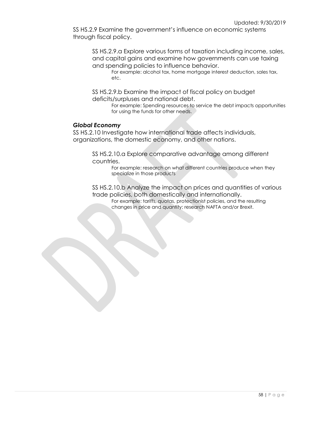SS HS.2.9 Examine the government's influence on economic systems through fiscal policy.

SS HS.2.9.a Explore various forms of taxation including income, sales, and capital gains and examine how governments can use taxing and spending policies to influence behavior.

For example: alcohol tax, home mortgage interest deduction, sales tax, etc.

SS HS.2.9.b Examine the impact of fiscal policy on budget deficits/surpluses and national debt.

> For example: Spending resources to service the debt impacts opportunities for using the funds for other needs.

### *Global Economy*

SS HS.2.10 Investigate how international trade affects individuals, organizations, the domestic economy, and other nations.

> SS HS.2.10.a Explore comparative advantage among different countries.

For example: research on what different countries produce when they specialize in those products

SS HS.2.10.b Analyze the impact on prices and quantities of various trade policies, both domestically and internationally.

For example: tariffs, quotas, protectionist policies, and the resulting changes in price and quantity; research NAFTA and/or Brexit.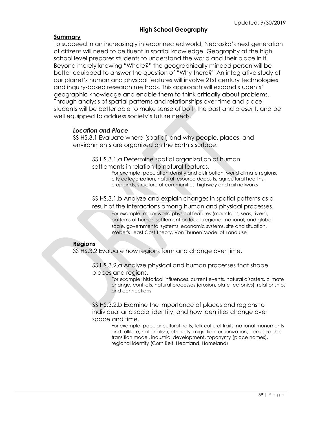# **High School Geography**

# **Summary**

To succeed in an increasingly interconnected world, Nebraska's next generation of citizens will need to be fluent in spatial knowledge. Geography at the high school level prepares students to understand the world and their place in it. Beyond merely knowing "Where?" the geographically minded person will be better equipped to answer the question of "Why there?" An integrative study of our planet's human and physical features will involve 21st century technologies and inquiry-based research methods. This approach will expand students' geographic knowledge and enable them to think critically about problems. Through analysis of spatial patterns and relationships over time and place, students will be better able to make sense of both the past and present, and be well equipped to address society's future needs.

# *Location and Place*

SS HS.3.1 Evaluate where (spatial) and why people, places, and environments are organized on the Earth's surface.

> SS HS.3.1.a Determine spatial organization of human settlements in relation to natural features.

For example: population density and distribution, world climate regions, city categorization, natural resource deposits, agricultural hearths, croplands, structure of communities, highway and rail networks

SS HS.3.1.b Analyze and explain changes in spatial patterns as a result of the interactions among human and physical processes.

For example: major world physical features (mountains, seas, rivers), patterns of human settlement on local, regional, national, and global scale, governmental systems, economic systems, site and situation, Weber's Least Cost Theory, Von Thunen Model of Land Use

# **Regions**

SS HS.3.2 Evaluate how regions form and change over time.

SS HS.3.2.a Analyze physical and human processes that shape places and regions.

> For example: historical influences, current events, natural disasters, climate change, conflicts, natural processes (erosion, plate tectonics), relationships and connections

SS HS.3.2.b Examine the importance of places and regions to individual and social identity, and how identities change over space and time.

For example: popular cultural traits, folk cultural traits, national monuments and folklore, nationalism, ethnicity, migration, urbanization, demographic transition model, industrial development, toponymy (place names), regional identity (Corn Belt, Heartland, Homeland)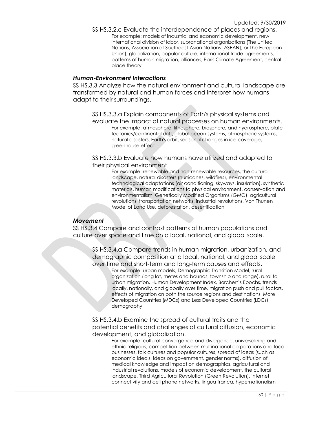SS HS.3.2.c Evaluate the interdependence of places and regions. For example: models of industrial and economic development, new international division of labor, supranational organizations (The United Nations, Association of Southeast Asian Nations [ASEAN], or The European Union), globalization, popular culture, international trade agreements, patterns of human migration, alliances, Paris Climate Agreement, central place theory

### *Human-Environment Interactions*

SS HS.3.3 Analyze how the natural environment and cultural landscape are transformed by natural and human forces and interpret how humans adapt to their surroundings.

SS HS.3.3.a Explain components of Earth's physical systems and evaluate the impact of natural processes on human environments. For example: atmosphere, lithosphere, biosphere, and hydrosphere, plate tectonics/continental drift, global ocean systems, atmospheric systems, natural disasters, Earth's orbit, seasonal changes in ice coverage, greenhouse effect

SS HS.3.3.b Evaluate how humans have utilized and adapted to their physical environment.

> For example: renewable and non-renewable resources, the cultural landscape, natural disasters (hurricanes, wildfires), environmental technological adaptations (air conditioning, skyways, insulation), synthetic materials, human modifications to physical environment, conservation and environmentalism, Genetically Modified Organisms (GMO), agricultural revolutions, transportation networks, industrial revolutions, Von Thunen Model of Land Use, deforestation, desertification

# *Movement*

SS HS.3.4 Compare and contrast patterns of human populations and culture over space and time on a local, national, and global scale.

SS HS.3.4.a Compare trends in human migration, urbanization, and demographic composition at a local, national, and global scale over time and short-term and long-term causes and effects.

> For example: urban models, Demographic Transition Model, rural organization (long lot, metes and bounds, township and range), rural to urban migration, Human Development Index, Borchert's Epochs, trends locally, nationally, and globally over time, migration push and pull factors, effects of migration on both the source regions and destinations, More Developed Countries (MDCs) and Less Developed Countries (LDCs), demography

SS HS.3.4.b Examine the spread of cultural traits and the potential benefits and challenges of cultural diffusion, economic development, and globalization.

For example: cultural convergence and divergence, universalizing and ethnic religions, competition between multinational corporations and local businesses, folk cultures and popular cultures, spread of ideas (such as economic ideals, ideas on government, gender norms), diffusion of medical knowledge and impact on demographics, agricultural and industrial revolutions, models of economic development, the cultural landscape, Third Agricultural Revolution (Green Revolution), internet connectivity and cell phone networks, lingua franca, hypernationalism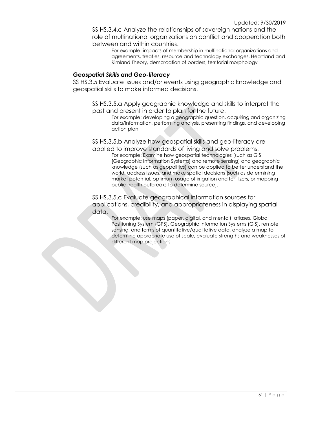SS HS.3.4.c Analyze the relationships of sovereign nations and the role of multinational organizations on conflict and cooperation both between and within countries.

For example: impacts of membership in multinational organizations and agreements, treaties, resource and technology exchanges, Heartland and Rimland Theory, demarcation of borders, territorial morphology

### *Geospatial Skills and Geo-literacy*

SS HS.3.5 Evaluate issues and/or events using geographic knowledge and geospatial skills to make informed decisions.

SS HS.3.5.a Apply geographic knowledge and skills to interpret the past and present in order to plan for the future.

For example: developing a geographic question, acquiring and organizing data/information, performing analysis, presenting findings, and developing action plan

SS HS.3.5.b Analyze how geospatial skills and geo-literacy are applied to improve standards of living and solve problems.

For example: Examine how geospatial technologies (such as GIS [Geographic Information Systems] and remote sensing) and geographic knowledge (such as geopolitics) can be applied to better understand the world, address issues, and make spatial decisions (such as determining market potential, optimum usage of irrigation and fertilizers, or mapping public health outbreaks to determine source).

SS HS.3.5.c Evaluate geographical information sources for applications, credibility, and appropriateness in displaying spatial data.

> For example: use maps (paper, digital, and mental), atlases, Global Positioning System (GPS), Geographic Information Systems (GIS), remote sensing, and forms of quantitative/qualitative data, analyze a map to determine appropriate use of scale, evaluate strengths and weaknesses of different map projections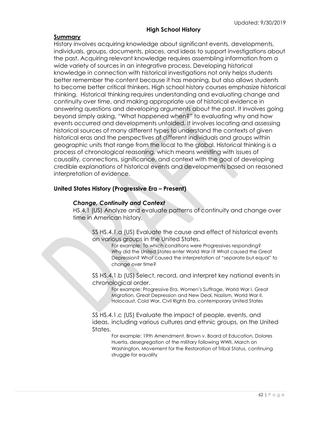# **High School History**

# **Summary**

History involves acquiring knowledge about significant events, developments, individuals, groups, documents, places, and ideas to support investigations about the past. Acquiring relevant knowledge requires assembling information from a wide variety of sources in an integrative process. Developing historical knowledge in connection with historical investigations not only helps students better remember the content because it has meaning, but also allows students to become better critical thinkers. High school history courses emphasize historical thinking. Historical thinking requires understanding and evaluating change and continuity over time, and making appropriate use of historical evidence in answering questions and developing arguments about the past. It involves going beyond simply asking, "What happened when?" to evaluating why and how events occurred and developments unfolded. It involves locating and assessing historical sources of many different types to understand the contexts of given historical eras and the perspectives of different individuals and groups within geographic units that range from the local to the global. Historical thinking is a process of chronological reasoning, which means wrestling with issues of causality, connections, significance, and context with the goal of developing credible explanations of historical events and developments based on reasoned interpretation of evidence.

# **United States History (Progressive Era – Present)**

# *Change, Continuity and Context*

HS.4.1 (US) Analyze and evaluate patterns of continuity and change over time in American history.

SS HS.4.1.a (US) Evaluate the cause and effect of historical events on various groups in the United States.

For example: To which conditions were Progressives responding? Why did the United States enter World War I? What caused the Great Depression? What caused the interpretation of "separate but equal" to change over time?

SS HS.4.1.b (US) Select, record, and interpret key national events in chronological order.

For example: Progressive Era, Women's Suffrage, World War I, Great Migration, Great Depression and New Deal, Naziism, World War II, Holocaust, Cold War, Civil Rights Era, contemporary United States

SS HS.4.1.c (US) Evaluate the impact of people, events, and ideas, including various cultures and ethnic groups, on the United States.

> For example: 19th Amendment, Brown v. Board of Education, Dolores Huerta, desegregation of the military following WWII, March on Washington, Movement for the Restoration of Tribal Status, continuing struggle for equality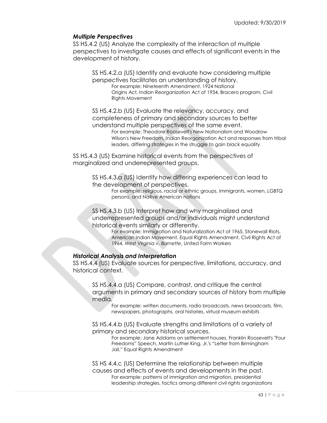# *Multiple Perspectives*

SS HS.4.2 (US) Analyze the complexity of the interaction of multiple perspectives to investigate causes and effects of significant events in the development of history.

SS HS.4.2.a (US) Identify and evaluate how considering multiple perspectives facilitates an understanding of history. For example: Nineteenth Amendment, 1924 National Origins Act, Indian Reorganization Act of 1934, Bracero program, Civil

Rights Movement

SS HS.4.2.b (US) Evaluate the relevancy, accuracy, and completeness of primary and secondary sources to better understand multiple perspectives of the same event.

> For example: Theodore Roosevelt's New Nationalism and Woodrow Wilson's New Freedom, Indian Reorganization Act and responses from tribal leaders, differing strategies in the struggle to gain black equality

SS HS.4.3 (US) Examine historical events from the perspectives of marginalized and underrepresented groups.

> SS HS.4.3.a (US) Identify how differing experiences can lead to the development of perspectives.

For example: religious, racial or ethnic groups, immigrants, women, LGBTQ persons, and Native American nations

SS HS.4.3.b (US) Interpret how and why marginalized and underrepresented groups and/or individuals might understand historical events similarly or differently.

For example: Immigration and Naturalization Act of 1965, Stonewall Riots, American Indian Movement, Equal Rights Amendment, Civil Rights Act of 1964, *West Virginia v. Barnette*, United Farm Workers

# *Historical Analysis and Interpretation*

SS HS.4.4 (US) Evaluate sources for perspective, limitations, accuracy, and historical context.

SS HS.4.4.a (US) Compare, contrast, and critique the central arguments in primary and secondary sources of history from multiple media.

For example: written documents, radio broadcasts, news broadcasts, film, newspapers, photographs, oral histories, virtual museum exhibits

SS HS.4.4.b (US) Evaluate strengths and limitations of a variety of primary and secondary historical sources.

For example: Jane Addams on settlement houses, Franklin Roosevelt's "Four Freedoms" Speech, Martin Luther King, Jr.'s "Letter from Birmingham Jail," Equal Rights Amendment

SS HS 4.4.c (US) Determine the relationship between multiple causes and effects of events and developments in the past. For example: patterns of immigration and migration, presidential leadership strategies, tactics among different civil rights organizations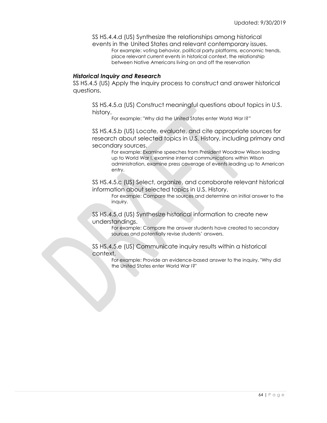SS HS.4.4.d (US) Synthesize the relationships among historical events in the United States and relevant contemporary issues.

For example: voting behavior, political party platforms, economic trends, place relevant current events in historical context, the relationship between Native Americans living on and off the reservation

# *Historical Inquiry and Research*

SS HS.4.5 (US) Apply the inquiry process to construct and answer historical questions.

SS HS.4.5.a (US) Construct meaningful questions about topics in U.S. history.

For example: "Why did the United States enter World War I?"

SS HS.4.5.b (US) Locate, evaluate, and cite appropriate sources for research about selected topics in U.S. History, including primary and secondary sources.

For example: Examine speeches from President Woodrow Wilson leading up to World War I, examine internal communications within Wilson administration, examine press coverage of events leading up to American entry.

SS HS.4.5.c (US) Select, organize, and corroborate relevant historical information about selected topics in U.S. History.

For example: Compare the sources and determine an initial answer to the inquiry.

SS HS.4.5.d (US) Synthesize historical information to create new understandings.

For example: Compare the answer students have created to secondary sources and potentially revise students' answers.

SS HS.4.5.e (US) Communicate inquiry results within a historical context.

> For example: Provide an evidence-based answer to the inquiry, "Why did the United States enter World War I?"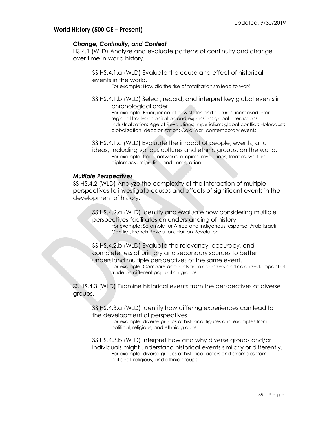# **World History (500 CE – Present)**

# *Change, Continuity, and Context*

HS.4.1 (WLD) Analyze and evaluate patterns of continuity and change over time in world history.

SS HS.4.1.a (WLD) Evaluate the cause and effect of historical events in the world.

For example: How did the rise of totalitarianism lead to war?

SS HS.4.1.b (WLD) Select, record, and interpret key global events in chronological order.

For example: Emergence of new states and cultures; increased interregional trade; colonization and expansion; global interactions; Industrialization; Age of Revolutions; Imperialism; global conflict; Holocaust; globalization; decolonization; Cold War; contemporary events

SS HS.4.1.c (WLD) Evaluate the impact of people, events, and

ideas, including various cultures and ethnic groups, on the world. For example: trade networks, empires, revolutions, treaties, warfare, diplomacy, migration and immigration

# *Multiple Perspectives*

SS HS.4.2 (WLD) Analyze the complexity of the interaction of multiple perspectives to investigate causes and effects of significant events in the development of history.

SS HS.4.2.a (WLD) Identify and evaluate how considering multiple perspectives facilitates an understanding of history.

For example: Scramble for Africa and indigenous response, Arab-Israeli Conflict, French Revolution, Haitian Revolution

SS HS.4.2.b (WLD) Evaluate the relevancy, accuracy, and completeness of primary and secondary sources to better understand multiple perspectives of the same event.

For example: Compare accounts from colonizers and colonized, impact of trade on different population groups.

SS HS.4.3 (WLD) Examine historical events from the perspectives of diverse groups.

SS HS.4.3.a (WLD) Identify how differing experiences can lead to the development of perspectives.

For example: diverse groups of historical figures and examples from political, religious, and ethnic groups

SS HS.4.3.b (WLD) Interpret how and why diverse groups and/or individuals might understand historical events similarly or differently. For example: diverse groups of historical actors and examples from national, religious, and ethnic groups